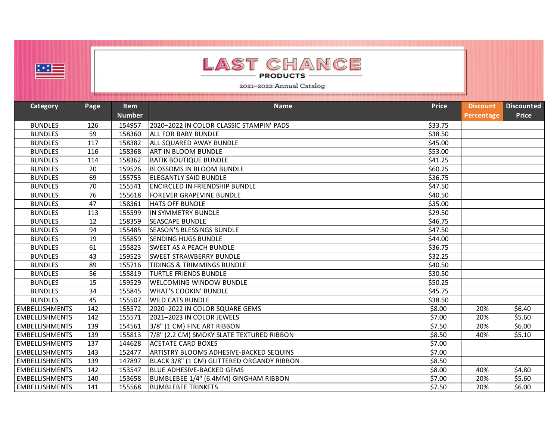| 举章                    |                 |                              | <b>LAST CHANCE</b><br><b>PRODUCTS</b><br>2021-2022 Annual Catalog |              |                               |                                   |
|-----------------------|-----------------|------------------------------|-------------------------------------------------------------------|--------------|-------------------------------|-----------------------------------|
| Category              | Page            | <b>Item</b><br><b>Number</b> | <b>Name</b>                                                       | <b>Price</b> | <b>Discount</b><br>Percentage | <b>Discounted</b><br><b>Price</b> |
| <b>BUNDLES</b>        | 126             | 154957                       | 2020-2022 IN COLOR CLASSIC STAMPIN' PADS                          | \$33.75      |                               |                                   |
| <b>BUNDLES</b>        | 59              | 158360                       | <b>ALL FOR BABY BUNDLE</b>                                        | \$38.50      |                               |                                   |
| <b>BUNDLES</b>        | 117             | 158382                       | ALL SQUARED AWAY BUNDLE                                           | \$45.00      |                               |                                   |
| <b>BUNDLES</b>        | 116             | 158368                       | <b>ART IN BLOOM BUNDLE</b>                                        | \$53.00      |                               |                                   |
| <b>BUNDLES</b>        | 114             | 158362                       | <b>BATIK BOUTIQUE BUNDLE</b>                                      | \$41.25      |                               |                                   |
| <b>BUNDLES</b>        | 20              | 159526                       | <b>BLOSSOMS IN BLOOM BUNDLE</b>                                   | \$60.25      |                               |                                   |
| <b>BUNDLES</b>        | 69              | 155753                       | <b>ELEGANTLY SAID BUNDLE</b>                                      | \$36.75      |                               |                                   |
| <b>BUNDLES</b>        | 70              | 155541                       | <b>ENCIRCLED IN FRIENDSHIP BUNDLE</b>                             | \$47.50      |                               |                                   |
| <b>BUNDLES</b>        | $\overline{76}$ | 155618                       | <b>FOREVER GRAPEVINE BUNDLE</b>                                   | \$40.50      |                               |                                   |
| <b>BUNDLES</b>        | 47              | 158361                       | <b>HATS OFF BUNDLE</b>                                            | \$35.00      |                               |                                   |
| <b>BUNDLES</b>        | 113             | 155599                       | IN SYMMETRY BUNDLE                                                | \$29.50      |                               |                                   |
| <b>BUNDLES</b>        | 12              | 158359                       | <b>SEASCAPE BUNDLE</b>                                            | \$46.75      |                               |                                   |
| <b>BUNDLES</b>        | 94              | 155485                       | <b>SEASON'S BLESSINGS BUNDLE</b>                                  | \$47.50      |                               |                                   |
| <b>BUNDLES</b>        | 19              | 155859                       | <b>SENDING HUGS BUNDLE</b>                                        | \$44.00      |                               |                                   |
| <b>BUNDLES</b>        | 61              | 155823                       | <b>SWEET AS A PEACH BUNDLE</b>                                    | \$36.75      |                               |                                   |
| <b>BUNDLES</b>        | 43              | 159523                       | <b>SWEET STRAWBERRY BUNDLE</b>                                    | \$32.25      |                               |                                   |
| <b>BUNDLES</b>        | 89              | 155716                       | TIDINGS & TRIMMINGS BUNDLE                                        | \$40.50      |                               |                                   |
| <b>BUNDLES</b>        | 56              | 155819                       | TURTLE FRIENDS BUNDLE                                             | \$30.50      |                               |                                   |
| <b>BUNDLES</b>        | 15              | 159529                       | <b>WELCOMING WINDOW BUNDLE</b>                                    | \$50.25      |                               |                                   |
| <b>BUNDLES</b>        | 34              | 155845                       | <b>WHAT'S COOKIN' BUNDLE</b>                                      | \$45.75      |                               |                                   |
| <b>BUNDLES</b>        | 45              | 155507                       | <b>WILD CATS BUNDLE</b>                                           | \$38.50      |                               |                                   |
| <b>EMBELLISHMENTS</b> | 142             | 155572                       | 2020-2022 IN COLOR SQUARE GEMS                                    | \$8.00       | 20%                           | \$6.40                            |
| <b>EMBELLISHMENTS</b> | 142             | 155571                       | 2021-2023 IN COLOR JEWELS                                         | \$7.00       | 20%                           | \$5.60                            |
| <b>EMBELLISHMENTS</b> | 139             | 154561                       | 3/8" (1 CM) FINE ART RIBBON                                       | \$7.50       | 20%                           | \$6.00                            |
| <b>EMBELLISHMENTS</b> | 139             | 155813                       | 7/8" (2.2 CM) SMOKY SLATE TEXTURED RIBBON                         | \$8.50       | 40%                           | \$5.10                            |
| <b>EMBELLISHMENTS</b> | 137             | 144628                       | <b>ACETATE CARD BOXES</b>                                         | \$7.00       |                               |                                   |
| <b>EMBELLISHMENTS</b> | 143             | 152477                       | <b>ARTISTRY BLOOMS ADHESIVE-BACKED SEQUINS</b>                    | \$7.00       |                               |                                   |
| <b>EMBELLISHMENTS</b> | 139             | 147897                       | BLACK 3/8" (1 CM) GLITTERED ORGANDY RIBBON                        | \$8.50       |                               |                                   |
| <b>EMBELLISHMENTS</b> | 142             | 153547                       | <b>BLUE ADHESIVE-BACKED GEMS</b>                                  | \$8.00       | 40%                           | \$4.80                            |
| <b>EMBELLISHMENTS</b> | 140             | 153658                       | BUMBLEBEE 1/4" (6.4MM) GINGHAM RIBBON                             | \$7.00       | 20%                           | \$5.60                            |
| <b>EMBELLISHMENTS</b> | 141             | 155568                       | <b>BUMBLEBEE TRINKETS</b>                                         | \$7.50       | 20%                           | \$6.00                            |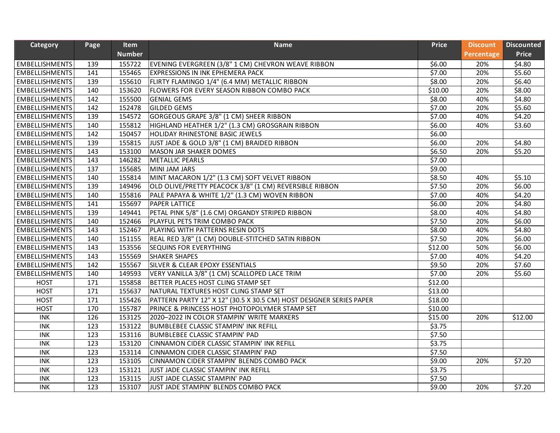| Category                  | Page | <b>Item</b>   | <b>Name</b>                                                         | <b>Price</b> | <b>Discount</b> | <b>Discounted</b> |
|---------------------------|------|---------------|---------------------------------------------------------------------|--------------|-----------------|-------------------|
|                           |      | <b>Number</b> |                                                                     |              | Percentage      | <b>Price</b>      |
| <b>EMBELLISHMENTS</b>     | 139  | 155722        | EVENING EVERGREEN (3/8" 1 CM) CHEVRON WEAVE RIBBON                  | \$6.00       | 20%             | \$4.80            |
| <b>EMBELLISHMENTS</b>     | 141  | 155465        | <b>EXPRESSIONS IN INK EPHEMERA PACK</b>                             | \$7.00       | 20%             | \$5.60            |
| <b>EMBELLISHMENTS</b>     | 139  | 155610        | FLIRTY FLAMINGO 1/4" (6.4 MM) METALLIC RIBBON                       | \$8.00       | 20%             | \$6.40            |
| <b>EMBELLISHMENTS</b>     | 140  | 153620        | FLOWERS FOR EVERY SEASON RIBBON COMBO PACK                          | \$10.00      | 20%             | \$8.00            |
| <b>EMBELLISHMENTS</b>     | 142  | 155500        | <b>GENIAL GEMS</b>                                                  | \$8.00       | 40%             | \$4.80            |
| <b>EMBELLISHMENTS</b>     | 142  | 152478        | <b>GILDED GEMS</b>                                                  | \$7.00       | 20%             | \$5.60            |
| <b>EMBELLISHMENTS</b>     | 139  | 154572        | GORGEOUS GRAPE 3/8" (1 CM) SHEER RIBBON                             | \$7.00       | 40%             | \$4.20            |
| <b>EMBELLISHMENTS</b>     | 140  | 155812        | HIGHLAND HEATHER 1/2" (1.3 CM) GROSGRAIN RIBBON                     | \$6.00       | 40%             | \$3.60            |
| <b>EMBELLISHMENTS</b>     | 142  | 150457        | <b>HOLIDAY RHINESTONE BASIC JEWELS</b>                              | \$6.00       |                 |                   |
| <b>EMBELLISHMENTS</b>     | 139  | 155815        | JUST JADE & GOLD 3/8" (1 CM) BRAIDED RIBBON                         | \$6.00       | 20%             | \$4.80            |
| <b>EMBELLISHMENTS</b>     | 143  | 153100        | <b>MASON JAR SHAKER DOMES</b>                                       | \$6.50       | 20%             | \$5.20            |
| <b>EMBELLISHMENTS</b>     | 143  | 146282        | <b>METALLIC PEARLS</b>                                              | \$7.00       |                 |                   |
| <b>EMBELLISHMENTS</b>     | 137  | 155685        | MINI JAM JARS                                                       | \$9.00       |                 |                   |
| <b>EMBELLISHMENTS</b>     | 140  | 155814        | MINT MACARON 1/2" (1.3 CM) SOFT VELVET RIBBON                       | \$8.50       | 40%             | \$5.10            |
| <b>EMBELLISHMENTS</b>     | 139  | 149496        | OLD OLIVE/PRETTY PEACOCK 3/8" (1 CM) REVERSIBLE RIBBON              | \$7.50       | 20%             | \$6.00            |
| <b>EMBELLISHMENTS</b>     | 140  | 155816        | PALE PAPAYA & WHITE 1/2" (1.3 CM) WOVEN RIBBON                      | \$7.00       | 40%             | \$4.20            |
| <b>EMBELLISHMENTS</b>     | 141  | 155697        | <b>PAPER LATTICE</b>                                                | \$6.00       | 20%             | \$4.80            |
| <b>EMBELLISHMENTS</b>     | 139  | 149441        | PETAL PINK 5/8" (1.6 CM) ORGANDY STRIPED RIBBON                     | \$8.00       | 40%             | \$4.80            |
| <b>EMBELLISHMENTS</b>     | 140  | 152466        | PLAYFUL PETS TRIM COMBO PACK                                        | \$7.50       | 20%             | \$6.00            |
| <b>EMBELLISHMENTS</b>     | 143  | 152467        | PLAYING WITH PATTERNS RESIN DOTS                                    | \$8.00       | 40%             | \$4.80            |
| <b>EMBELLISHMENTS</b>     | 140  | 151155        | REAL RED 3/8" (1 CM) DOUBLE-STITCHED SATIN RIBBON                   | \$7.50       | 20%             | \$6.00            |
| <b>EMBELLISHMENTS</b>     | 143  | 153556        | <b>SEQUINS FOR EVERYTHING</b>                                       | \$12.00      | 50%             | \$6.00            |
| <b>EMBELLISHMENTS</b>     | 143  | 155569        | <b>SHAKER SHAPES</b>                                                | \$7.00       | 40%             | \$4.20            |
| <b>EMBELLISHMENTS</b>     | 142  | 155567        | SILVER & CLEAR EPOXY ESSENTIALS                                     | \$9.50       | 20%             | \$7.60            |
| <b>EMBELLISHMENTS</b>     | 140  | 149593        | VERY VANILLA 3/8" (1 CM) SCALLOPED LACE TRIM                        | \$7.00       | 20%             | \$5.60            |
| <b>HOST</b>               | 171  | 155858        | BETTER PLACES HOST CLING STAMP SET                                  | \$12.00      |                 |                   |
| <b>HOST</b>               | 171  | 155637        | NATURAL TEXTURES HOST CLING STAMP SET                               | \$13.00      |                 |                   |
| <b>HOST</b>               | 171  | 155426        | PATTERN PARTY 12" X 12" (30.5 X 30.5 CM) HOST DESIGNER SERIES PAPER | \$18.00      |                 |                   |
| <b>HOST</b>               | 170  | 155787        | PRINCE & PRINCESS HOST PHOTOPOLYMER STAMP SET                       | \$10.00      |                 |                   |
| <b>INK</b>                | 126  | 153125        | 2020-2022 IN COLOR STAMPIN' WRITE MARKERS                           | \$15.00      | 20%             | \$12.00           |
| <b>INK</b>                | 123  | 153122        | BUMBLEBEE CLASSIC STAMPIN' INK REFILL                               | \$3.75       |                 |                   |
| $\overline{\mathsf{INK}}$ | 123  | 153116        | <b>BUMBLEBEE CLASSIC STAMPIN' PAD</b>                               | \$7.50       |                 |                   |
| <b>INK</b>                | 123  | 153120        | CINNAMON CIDER CLASSIC STAMPIN' INK REFILL                          | \$3.75       |                 |                   |
| <b>INK</b>                | 123  | 153114        | CINNAMON CIDER CLASSIC STAMPIN' PAD                                 | \$7.50       |                 |                   |
| <b>INK</b>                | 123  | 153105        | CINNAMON CIDER STAMPIN' BLENDS COMBO PACK                           | \$9.00       | 20%             | \$7.20            |
| <b>INK</b>                | 123  | 153121        | JUST JADE CLASSIC STAMPIN' INK REFILL                               | \$3.75       |                 |                   |
| <b>INK</b>                | 123  | 153115        | JUST JADE CLASSIC STAMPIN' PAD                                      | \$7.50       |                 |                   |
| <b>INK</b>                | 123  | 153107        | JUST JADE STAMPIN' BLENDS COMBO PACK                                | \$9.00       | 20%             | \$7.20            |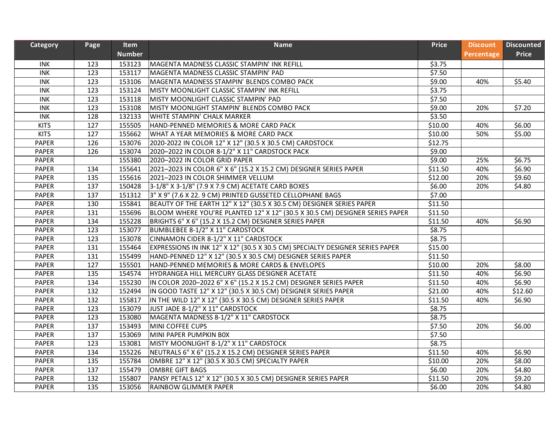| Category                  | Page | <b>Item</b><br><b>Number</b> | <b>Name</b>                                                                   | <b>Price</b>       | <b>Discount</b><br>Percentage | <b>Discounted</b><br><b>Price</b> |
|---------------------------|------|------------------------------|-------------------------------------------------------------------------------|--------------------|-------------------------------|-----------------------------------|
| <b>INK</b>                | 123  | 153123                       | MAGENTA MADNESS CLASSIC STAMPIN' INK REFILL                                   | $\overline{5}3.75$ |                               |                                   |
| $\overline{\mathsf{INK}}$ | 123  | 153117                       | MAGENTA MADNESS CLASSIC STAMPIN' PAD                                          | \$7.50             |                               |                                   |
| <b>INK</b>                | 123  | 153106                       | MAGENTA MADNESS STAMPIN' BLENDS COMBO PACK                                    | \$9.00             | 40%                           | \$5.40                            |
| <b>INK</b>                | 123  | 153124                       | MISTY MOONLIGHT CLASSIC STAMPIN' INK REFILL                                   | \$3.75             |                               |                                   |
| <b>INK</b>                | 123  | 153118                       | MISTY MOONLIGHT CLASSIC STAMPIN' PAD                                          | \$7.50             |                               |                                   |
| <b>INK</b>                | 123  | 153108                       | MISTY MOONLIGHT STAMPIN' BLENDS COMBO PACK                                    | \$9.00             | 20%                           | \$7.20                            |
| INK                       | 128  | 132133                       | WHITE STAMPIN' CHALK MARKER                                                   | \$3.50             |                               |                                   |
| <b>KITS</b>               | 127  | 155505                       | HAND-PENNED MEMORIES & MORE CARD PACK                                         | \$10.00            | 40%                           | \$6.00                            |
| <b>KITS</b>               | 127  | 155662                       | WHAT A YEAR MEMORIES & MORE CARD PACK                                         | \$10.00            | 50%                           | \$5.00                            |
| <b>PAPER</b>              | 126  | 153076                       | 2020-2022 IN COLOR 12" X 12" (30.5 X 30.5 CM) CARDSTOCK                       | \$12.75            |                               |                                   |
| PAPER                     | 126  | 153074                       | 2020-2022 IN COLOR 8-1/2" X 11" CARDSTOCK PACK                                | \$9.00             |                               |                                   |
| PAPER                     |      | 155380                       | 2020-2022 IN COLOR GRID PAPER                                                 | \$9.00             | 25%                           | \$6.75                            |
| <b>PAPER</b>              | 134  | 155641                       | 2021-2023 IN COLOR 6" X 6" (15.2 X 15.2 CM) DESIGNER SERIES PAPER             | \$11.50            | 40%                           | \$6.90                            |
| <b>PAPER</b>              | 135  | 155616                       | 2021-2023 IN COLOR SHIMMER VELLUM                                             | \$12.00            | 20%                           | \$9.60                            |
| PAPER                     | 137  | 150428                       | 3-1/8" X 3-1/8" (7.9 X 7.9 CM) ACETATE CARD BOXES                             | \$6.00             | 20%                           | \$4.80                            |
| <b>PAPER</b>              | 137  | 151312                       | 3" X 9" (7.6 X 22. 9 CM) PRINTED GUSSETED CELLOPHANE BAGS                     | \$7.00             |                               |                                   |
| <b>PAPER</b>              | 130  | 155841                       | BEAUTY OF THE EARTH 12" X 12" (30.5 X 30.5 CM) DESIGNER SERIES PAPER          | \$11.50            |                               |                                   |
| <b>PAPER</b>              | 131  | 155696                       | BLOOM WHERE YOU'RE PLANTED 12" X 12" (30.5 X 30.5 CM) DESIGNER SERIES PAPER   | \$11.50            |                               |                                   |
| PAPER                     | 134  | 155228                       | BRIGHTS 6" X 6" (15.2 X 15.2 CM) DESIGNER SERIES PAPER                        | \$11.50            | 40%                           | \$6.90                            |
| <b>PAPER</b>              | 123  | 153077                       | BUMBLEBEE 8-1/2" X 11" CARDSTOCK                                              | \$8.75             |                               |                                   |
| PAPER                     | 123  | 153078                       | CINNAMON CIDER 8-1/2" X 11" CARDSTOCK                                         | \$8.75             |                               |                                   |
| <b>PAPER</b>              | 131  | 155464                       | EXPRESSIONS IN INK 12" X 12" (30.5 X 30.5 CM) SPECIALTY DESIGNER SERIES PAPER | \$15.00            |                               |                                   |
| PAPER                     | 131  | 155499                       | HAND-PENNED 12" X 12" (30.5 X 30.5 CM) DESIGNER SERIES PAPER                  | \$11.50            |                               |                                   |
| PAPER                     | 127  | 155501                       | HAND-PENNED MEMORIES & MORE CARDS & ENVELOPES                                 | \$10.00            | 20%                           | \$8.00                            |
| <b>PAPER</b>              | 135  | 154574                       | HYDRANGEA HILL MERCURY GLASS DESIGNER ACETATE                                 | \$11.50            | 40%                           | \$6.90                            |
| <b>PAPER</b>              | 134  | 155230                       | IN COLOR 2020-2022 6" X 6" (15.2 X 15.2 CM) DESIGNER SERIES PAPER             | \$11.50            | 40%                           | \$6.90                            |
| PAPER                     | 132  | 152494                       | IN GOOD TASTE 12" X 12" (30.5 X 30.5 CM) DESIGNER SERIES PAPER                | \$21.00            | 40%                           | \$12.60                           |
| PAPER                     | 132  | 155817                       | IN THE WILD 12" X 12" (30.5 X 30.5 CM) DESIGNER SERIES PAPER                  | \$11.50            | 40%                           | \$6.90                            |
| PAPER                     | 123  | 153079                       | JUST JADE 8-1/2" X 11" CARDSTOCK                                              | \$8.75             |                               |                                   |
| PAPER                     | 123  | 153080                       | MAGENTA MADNESS 8-1/2" X 11" CARDSTOCK                                        | \$8.75             |                               |                                   |
| PAPER                     | 137  | 153493                       | MINI COFFEE CUPS                                                              | \$7.50             | 20%                           | \$6.00                            |
| <b>PAPER</b>              | 137  | 153069                       | MINI PAPER PUMPKIN BOX                                                        | \$7.50             |                               |                                   |
| PAPER                     | 123  | 153081                       | MISTY MOONLIGHT 8-1/2" X 11" CARDSTOCK                                        | \$8.75             |                               |                                   |
| PAPER                     | 134  | 155226                       | NEUTRALS 6" X 6" (15.2 X 15.2 CM) DESIGNER SERIES PAPER                       | \$11.50            | 40%                           | \$6.90                            |
| PAPER                     | 135  | 155784                       | OMBRE 12" X 12" (30.5 X 30.5 CM) SPECIALTY PAPER                              | \$10.00            | 20%                           | \$8.00                            |
| PAPER                     | 137  | 155479                       | <b>OMBRE GIFT BAGS</b>                                                        | \$6.00             | 20%                           | \$4.80                            |
| <b>PAPER</b>              | 132  | 155807                       | PANSY PETALS 12" X 12" (30.5 X 30.5 CM) DESIGNER SERIES PAPER                 | \$11.50            | 20%                           | \$9.20                            |
| <b>PAPER</b>              | 135  | 153056                       | <b>RAINBOW GLIMMER PAPER</b>                                                  | \$6.00             | 20%                           | \$4.80                            |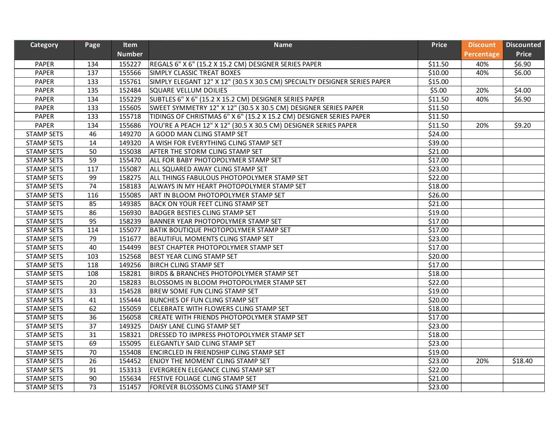| Category          | Page | Item          | <b>Name</b>                                                               | <b>Price</b> | <b>Discount</b> | <b>Discounted</b> |
|-------------------|------|---------------|---------------------------------------------------------------------------|--------------|-----------------|-------------------|
|                   |      | <b>Number</b> |                                                                           |              | Percentage      | Price             |
| <b>PAPER</b>      | 134  | 155227        | REGALS 6" X 6" (15.2 X 15.2 CM) DESIGNER SERIES PAPER                     | \$11.50      | 40%             | \$6.90            |
| <b>PAPER</b>      | 137  | 155566        | SIMPLY CLASSIC TREAT BOXES                                                | \$10.00      | 40%             | \$6.00            |
| <b>PAPER</b>      | 133  | 155761        | SIMPLY ELEGANT 12" X 12" (30.5 X 30.5 CM) SPECIALTY DESIGNER SERIES PAPER | \$15.00      |                 |                   |
| <b>PAPER</b>      | 135  | 152484        | SQUARE VELLUM DOILIES                                                     | \$5.00       | 20%             | \$4.00            |
| <b>PAPER</b>      | 134  | 155229        | SUBTLES 6" X 6" (15.2 X 15.2 CM) DESIGNER SERIES PAPER                    | \$11.50      | 40%             | \$6.90            |
| <b>PAPER</b>      | 133  | 155605        | SWEET SYMMETRY 12" X 12" (30.5 X 30.5 CM) DESIGNER SERIES PAPER           | \$11.50      |                 |                   |
| <b>PAPER</b>      | 133  | 155718        | TIDINGS OF CHRISTMAS 6" X 6" (15.2 X 15.2 CM) DESIGNER SERIES PAPER       | \$11.50      |                 |                   |
| <b>PAPER</b>      | 134  | 155686        | YOU'RE A PEACH 12" X 12" (30.5 X 30.5 CM) DESIGNER SERIES PAPER           | \$11.50      | 20%             | \$9.20            |
| <b>STAMP SETS</b> | 46   | 149270        | A GOOD MAN CLING STAMP SET                                                | \$24.00      |                 |                   |
| <b>STAMP SETS</b> | 14   | 149320        | A WISH FOR EVERYTHING CLING STAMP SET                                     | \$39.00      |                 |                   |
| <b>STAMP SETS</b> | 50   | 155038        | AFTER THE STORM CLING STAMP SET                                           | \$21.00      |                 |                   |
| <b>STAMP SETS</b> | 59   | 155470        | ALL FOR BABY PHOTOPOLYMER STAMP SET                                       | \$17.00      |                 |                   |
| <b>STAMP SETS</b> | 117  | 155087        | ALL SQUARED AWAY CLING STAMP SET                                          | \$23.00      |                 |                   |
| <b>STAMP SETS</b> | 99   | 158275        | ALL THINGS FABULOUS PHOTOPOLYMER STAMP SET                                | \$22.00      |                 |                   |
| <b>STAMP SETS</b> | 74   | 158183        | ALWAYS IN MY HEART PHOTOPOLYMER STAMP SET                                 | \$18.00      |                 |                   |
| <b>STAMP SETS</b> | 116  | 155085        | ART IN BLOOM PHOTOPOLYMER STAMP SET                                       | \$26.00      |                 |                   |
| <b>STAMP SETS</b> | 85   | 149385        | BACK ON YOUR FEET CLING STAMP SET                                         | \$21.00      |                 |                   |
| <b>STAMP SETS</b> | 86   | 156930        | BADGER BESTIES CLING STAMP SET                                            | \$19.00      |                 |                   |
| <b>STAMP SETS</b> | 95   | 158239        | BANNER YEAR PHOTOPOLYMER STAMP SET                                        | \$17.00      |                 |                   |
| <b>STAMP SETS</b> | 114  | 155077        | <b>BATIK BOUTIQUE PHOTOPOLYMER STAMP SET</b>                              | \$17.00      |                 |                   |
| <b>STAMP SETS</b> | 79   | 151677        | <b>BEAUTIFUL MOMENTS CLING STAMP SET</b>                                  | \$23.00      |                 |                   |
| <b>STAMP SETS</b> | 40   | 154499        | BEST CHAPTER PHOTOPOLYMER STAMP SET                                       | \$17.00      |                 |                   |
| <b>STAMP SETS</b> | 103  | 152568        | <b>BEST YEAR CLING STAMP SET</b>                                          | \$20.00      |                 |                   |
| <b>STAMP SETS</b> | 118  | 149256        | <b>BIRCH CLING STAMP SET</b>                                              | \$17.00      |                 |                   |
| <b>STAMP SETS</b> | 108  | 158281        | BIRDS & BRANCHES PHOTOPOLYMER STAMP SET                                   | \$18.00      |                 |                   |
| <b>STAMP SETS</b> | 20   | 158283        | BLOSSOMS IN BLOOM PHOTOPOLYMER STAMP SET                                  | \$22.00      |                 |                   |
| <b>STAMP SETS</b> | 33   | 154528        | BREW SOME FUN CLING STAMP SET                                             | \$19.00      |                 |                   |
| <b>STAMP SETS</b> | 41   | 155444        | BUNCHES OF FUN CLING STAMP SET                                            | \$20.00      |                 |                   |
| <b>STAMP SETS</b> | 62   | 155059        | CELEBRATE WITH FLOWERS CLING STAMP SET                                    | \$18.00      |                 |                   |
| <b>STAMP SETS</b> | 36   | 156058        | CREATE WITH FRIENDS PHOTOPOLYMER STAMP SET                                | \$17.00      |                 |                   |
| <b>STAMP SETS</b> | 37   | 149325        | DAISY LANE CLING STAMP SET                                                | \$23.00      |                 |                   |
| <b>STAMP SETS</b> | 31   | 158321        | DRESSED TO IMPRESS PHOTOPOLYMER STAMP SET                                 | 518.00       |                 |                   |
| <b>STAMP SETS</b> | 69   | 155095        | ELEGANTLY SAID CLING STAMP SET                                            | \$23.00      |                 |                   |
| <b>STAMP SETS</b> | 70   | 155408        | <b>ENCIRCLED IN FRIENDSHIP CLING STAMP SET</b>                            | \$19.00      |                 |                   |
| <b>STAMP SETS</b> | 26   | 154452        | <b>ENJOY THE MOMENT CLING STAMP SET</b>                                   | \$23.00      | 20%             | \$18.40           |
| <b>STAMP SETS</b> | 91   | 153313        | EVERGREEN ELEGANCE CLING STAMP SET                                        | \$22.00      |                 |                   |
| <b>STAMP SETS</b> | 90   | 155634        | <b>FESTIVE FOLIAGE CLING STAMP SET</b>                                    | \$21.00      |                 |                   |
| <b>STAMP SETS</b> | 73   | 151457        | lFOREVER BLOSSOMS CLING STAMP SET                                         | \$23.00      |                 |                   |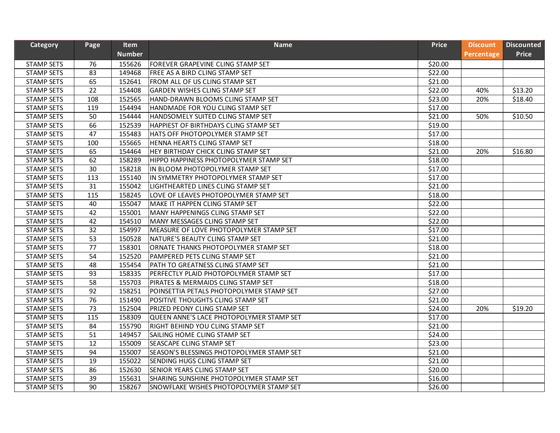| Category          | Page | ltem          | <b>Name</b>                               | <b>Price</b> | <b>Discount</b> | <b>Discounted</b> |
|-------------------|------|---------------|-------------------------------------------|--------------|-----------------|-------------------|
|                   |      | <b>Number</b> |                                           |              | Percentage      | <b>Price</b>      |
| <b>STAMP SETS</b> | 76   | 155626        | FOREVER GRAPEVINE CLING STAMP SET         | \$20.00      |                 |                   |
| <b>STAMP SETS</b> | 83   | 149468        | <b>FREE AS A BIRD CLING STAMP SET</b>     | \$22.00      |                 |                   |
| <b>STAMP SETS</b> | 65   | 152641        | FROM ALL OF US CLING STAMP SET            | \$21.00      |                 |                   |
| <b>STAMP SETS</b> | 22   | 154408        | <b>GARDEN WISHES CLING STAMP SET</b>      | \$22.00      | 40%             | \$13.20           |
| <b>STAMP SETS</b> | 108  | 152565        | HAND-DRAWN BLOOMS CLING STAMP SET         | \$23.00      | 20%             | \$18.40           |
| <b>STAMP SETS</b> | 119  | 154494        | HANDMADE FOR YOU CLING STAMP SET          | \$17.00      |                 |                   |
| <b>STAMP SETS</b> | 50   | 154444        | HANDSOMELY SUITED CLING STAMP SET         | \$21.00      | 50%             | \$10.50           |
| <b>STAMP SETS</b> | 66   | 152539        | HAPPIEST OF BIRTHDAYS CLING STAMP SET     | \$19.00      |                 |                   |
| <b>STAMP SETS</b> | 47   | 155483        | HATS OFF PHOTOPOLYMER STAMP SET           | \$17.00      |                 |                   |
| <b>STAMP SETS</b> | 100  | 155665        | HENNA HEARTS CLING STAMP SET              | \$18.00      |                 |                   |
| <b>STAMP SETS</b> | 65   | 154464        | HEY BIRTHDAY CHICK CLING STAMP SET        | \$21.00      | 20%             | \$16.80           |
| <b>STAMP SETS</b> | 62   | 158289        | HIPPO HAPPINESS PHOTOPOLYMER STAMP SET    | \$18.00      |                 |                   |
| <b>STAMP SETS</b> | 30   | 158218        | IN BLOOM PHOTOPOLYMER STAMP SET           | \$17.00      |                 |                   |
| <b>STAMP SETS</b> | 113  | 155140        | lIN SYMMETRY PHOTOPOLYMER STAMP SET       | \$17.00      |                 |                   |
| <b>STAMP SETS</b> | 31   | 155042        | LIGHTHEARTED LINES CLING STAMP SET        | \$21.00      |                 |                   |
| <b>STAMP SETS</b> | 115  | 158245        | LOVE OF LEAVES PHOTOPOLYMER STAMP SET     | \$18.00      |                 |                   |
| <b>STAMP SETS</b> | 40   | 155047        | MAKE IT HAPPEN CLING STAMP SET            | \$22.00      |                 |                   |
| <b>STAMP SETS</b> | 42   | 155001        | MANY HAPPENINGS CLING STAMP SET           | \$22.00      |                 |                   |
| <b>STAMP SETS</b> | 42   | 154510        | MANY MESSAGES CLING STAMP SET             | \$22.00      |                 |                   |
| <b>STAMP SETS</b> | 32   | 154997        | MEASURE OF LOVE PHOTOPOLYMER STAMP SET    | \$17.00      |                 |                   |
| <b>STAMP SETS</b> | 53   | 150528        | NATURE'S BEAUTY CLING STAMP SET           | \$21.00      |                 |                   |
| <b>STAMP SETS</b> | 77   | 158301        | ORNATE THANKS PHOTOPOLYMER STAMP SET      | \$18.00      |                 |                   |
| <b>STAMP SETS</b> | 54   | 152520        | PAMPERED PETS CLING STAMP SET             | \$21.00      |                 |                   |
| <b>STAMP SETS</b> | 48   | 155454        | PATH TO GREATNESS CLING STAMP SET         | \$21.00      |                 |                   |
| <b>STAMP SETS</b> | 93   | 158335        | PERFECTLY PLAID PHOTOPOLYMER STAMP SET    | \$17.00      |                 |                   |
| <b>STAMP SETS</b> | 58   | 155703        | PIRATES & MERMAIDS CLING STAMP SET        | \$18.00      |                 |                   |
| <b>STAMP SETS</b> | 92   | 158251        | POINSETTIA PETALS PHOTOPOLYMER STAMP SET  | \$27.00      |                 |                   |
| <b>STAMP SETS</b> | 76   | 151490        | POSITIVE THOUGHTS CLING STAMP SET         | \$21.00      |                 |                   |
| <b>STAMP SETS</b> | 73   | 152504        | PRIZED PEONY CLING STAMP SET              | \$24.00      | 20%             | \$19.20           |
| <b>STAMP SETS</b> | 115  | 158309        | QUEEN ANNE'S LACE PHOTOPOLYMER STAMP SET  | \$17.00      |                 |                   |
| <b>STAMP SETS</b> | 84   | 155790        | RIGHT BEHIND YOU CLING STAMP SET          | \$21.00      |                 |                   |
| <b>STAMP SETS</b> | 51   | 149457        | SAILING HOME CLING STAMP SET              | \$24.00      |                 |                   |
| <b>STAMP SETS</b> | 12   | 155009        | <b>SEASCAPE CLING STAMP SET</b>           | \$23.00      |                 |                   |
| <b>STAMP SETS</b> | 94   | 155007        | SEASON'S BLESSINGS PHOTOPOLYMER STAMP SET | \$21.00      |                 |                   |
| <b>STAMP SETS</b> | 19   | 155022        | <b>SENDING HUGS CLING STAMP SET</b>       | \$21.00      |                 |                   |
| <b>STAMP SETS</b> | 86   | 152630        | <b>SENIOR YEARS CLING STAMP SET</b>       | \$20.00      |                 |                   |
| <b>STAMP SETS</b> | 39   | 155631        | ISHARING SUNSHINE PHOTOPOLYMER STAMP SET  | \$16.00      |                 |                   |
| <b>STAMP SETS</b> | 90   | 158267        | SNOWFLAKE WISHES PHOTOPOLYMER STAMP SET   | \$26.00      |                 |                   |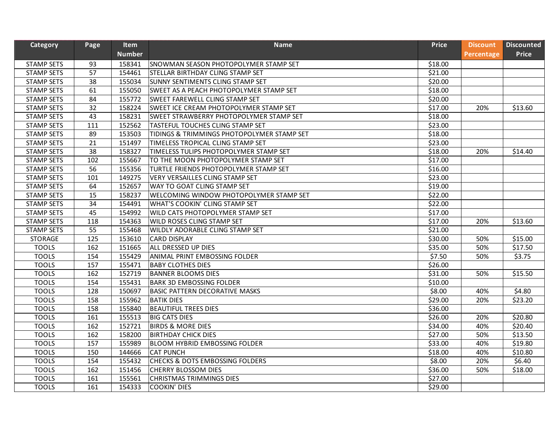| Category          | Page            | ltem          | <b>Name</b>                                  | <b>Price</b>        | <b>Discount</b> | <b>Discounted</b> |
|-------------------|-----------------|---------------|----------------------------------------------|---------------------|-----------------|-------------------|
|                   |                 | <b>Number</b> |                                              |                     | Percentage      | <b>Price</b>      |
| <b>STAMP SETS</b> | 93              | 158341        | ISNOWMAN SEASON PHOTOPOLYMER STAMP SET       | \$18.00             |                 |                   |
| <b>STAMP SETS</b> | 57              | 154461        | ISTELLAR BIRTHDAY CLING STAMP SET            | \$21.00             |                 |                   |
| <b>STAMP SETS</b> | 38              | 155034        | <b>SUNNY SENTIMENTS CLING STAMP SET</b>      | \$20.00             |                 |                   |
| <b>STAMP SETS</b> | 61              | 155050        | SWEET AS A PEACH PHOTOPOLYMER STAMP SET      | \$18.00             |                 |                   |
| <b>STAMP SETS</b> | 84              | 155772        | <b>SWEET FAREWELL CLING STAMP SET</b>        | \$20.00             |                 |                   |
| <b>STAMP SETS</b> | $\overline{32}$ | 158224        | SWEET ICE CREAM PHOTOPOLYMER STAMP SET       | \$17.00             | 20%             | \$13.60           |
| <b>STAMP SETS</b> | 43              | 158231        | SWEET STRAWBERRY PHOTOPOLYMER STAMP SET      | \$18.00             |                 |                   |
| <b>STAMP SETS</b> | 111             | 152562        | <b>TASTEFUL TOUCHES CLING STAMP SET</b>      | \$23.00             |                 |                   |
| <b>STAMP SETS</b> | 89              | 153503        | ITIDINGS & TRIMMINGS PHOTOPOLYMER STAMP SET  | \$18.00             |                 |                   |
| <b>STAMP SETS</b> | $\overline{21}$ | 151497        | TIMELESS TROPICAL CLING STAMP SET            | \$23.00             |                 |                   |
| <b>STAMP SETS</b> | 38              | 158327        | TIMELESS TULIPS PHOTOPOLYMER STAMP SET       | \$18.00             | 20%             | \$14.40           |
| <b>STAMP SETS</b> | 102             | 155667        | TO THE MOON PHOTOPOLYMER STAMP SET           | \$17.00             |                 |                   |
| <b>STAMP SETS</b> | 56              | 155356        | <b>TURTLE FRIENDS PHOTOPOLYMER STAMP SET</b> | \$16.00             |                 |                   |
| <b>STAMP SETS</b> | 101             | 149275        | VERY VERSAILLES CLING STAMP SET              | \$23.00             |                 |                   |
| <b>STAMP SETS</b> | 64              | 152657        | WAY TO GOAT CLING STAMP SET                  | \$19.00             |                 |                   |
| <b>STAMP SETS</b> | 15              | 158237        | WELCOMING WINDOW PHOTOPOLYMER STAMP SET      | \$22.00             |                 |                   |
| <b>STAMP SETS</b> | 34              | 154491        | <b>WHAT'S COOKIN' CLING STAMP SET</b>        | \$22.00             |                 |                   |
| <b>STAMP SETS</b> | 45              | 154992        | <b>WILD CATS PHOTOPOLYMER STAMP SET</b>      | \$17.00             |                 |                   |
| <b>STAMP SETS</b> | 118             | 154363        | <b>WILD ROSES CLING STAMP SET</b>            | \$17.00             | 20%             | \$13.60           |
| <b>STAMP SETS</b> | 55              | 155468        | WILDLY ADORABLE CLING STAMP SET              | \$21.00             |                 |                   |
| <b>STORAGE</b>    | 125             | 153610        | <b>CARD DISPLAY</b>                          | $\overline{$}30.00$ | 50%             | \$15.00           |
| <b>TOOLS</b>      | 162             | 151665        | ALL DRESSED UP DIES                          | \$35.00             | 50%             | \$17.50           |
| <b>TOOLS</b>      | 154             | 155429        | ANIMAL PRINT EMBOSSING FOLDER                | \$7.50              | 50%             | \$3.75            |
| <b>TOOLS</b>      | 157             | 155471        | <b>BABY CLOTHES DIES</b>                     | \$26.00             |                 |                   |
| <b>TOOLS</b>      | 162             | 152719        | BANNER BLOOMS DIES                           | $\overline{$}31.00$ | 50%             | \$15.50           |
| <b>TOOLS</b>      | 154             | 155431        | <b>BARK 3D EMBOSSING FOLDER</b>              | \$10.00             |                 |                   |
| <b>TOOLS</b>      | 128             | 150697        | <b>BASIC PATTERN DECORATIVE MASKS</b>        | \$8.00              | 40%             | \$4.80            |
| <b>TOOLS</b>      | 158             | 155962        | <b>BATIK DIES</b>                            | \$29.00             | 20%             | \$23.20           |
| <b>TOOLS</b>      | 158             | 155840        | <b>BEAUTIFUL TREES DIES</b>                  | \$36.00             |                 |                   |
| <b>TOOLS</b>      | 161             | 155513        | <b>BIG CATS DIES</b>                         | \$26.00             | 20%             | \$20.80           |
| <b>TOOLS</b>      | 162             | 152721        | <b>BIRDS &amp; MORE DIES</b>                 | $\overline{$}34.00$ | 40%             | \$20.40           |
| <b>TOOLS</b>      | 162             | 158200        | <b>BIRTHDAY CHICK DIES</b>                   | \$27.00             | 50%             | \$13.50           |
| <b>TOOLS</b>      | 157             | 155989        | <b>BLOOM HYBRID EMBOSSING FOLDER</b>         | \$33.00             | 40%             | \$19.80           |
| <b>TOOLS</b>      | 150             | 144666        | <b>CAT PUNCH</b>                             | \$18.00             | 40%             | \$10.80           |
| <b>TOOLS</b>      | 154             | 155432        | <b>CHECKS &amp; DOTS EMBOSSING FOLDERS</b>   | \$8.00              | 20%             | \$6.40            |
| <b>TOOLS</b>      | 162             | 151456        | <b>CHERRY BLOSSOM DIES</b>                   | \$36.00             | 50%             | \$18.00           |
| <b>TOOLS</b>      | 161             | 155561        | <b>CHRISTMAS TRIMMINGS DIES</b>              | \$27.00             |                 |                   |
| <b>TOOLS</b>      | 161             | 154333        | <b>COOKIN' DIES</b>                          | \$29.00             |                 |                   |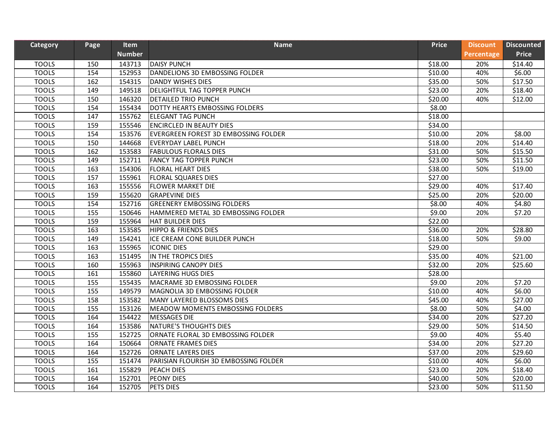| Category     | Page | <b>Item</b>   | <b>Name</b>                                 | <b>Price</b> | <b>Discount</b> | <b>Discounted</b> |
|--------------|------|---------------|---------------------------------------------|--------------|-----------------|-------------------|
|              |      | <b>Number</b> |                                             |              | Percentage      | <b>Price</b>      |
| <b>TOOLS</b> | 150  | 143713        | <b>DAISY PUNCH</b>                          | \$18.00      | 20%             | \$14.40           |
| <b>TOOLS</b> | 154  | 152953        | DANDELIONS 3D EMBOSSING FOLDER              | \$10.00      | 40%             | \$6.00            |
| <b>TOOLS</b> | 162  | 154315        | DANDY WISHES DIES                           | \$35.00      | 50%             | \$17.50           |
| <b>TOOLS</b> | 149  | 149518        | <b>DELIGHTFUL TAG TOPPER PUNCH</b>          | \$23.00      | 20%             | \$18.40           |
| <b>TOOLS</b> | 150  | 146320        | <b>DETAILED TRIO PUNCH</b>                  | \$20.00      | 40%             | \$12.00           |
| <b>TOOLS</b> | 154  | 155434        | DOTTY HEARTS EMBOSSING FOLDERS              | \$8.00       |                 |                   |
| <b>TOOLS</b> | 147  | 155762        | <b>ELEGANT TAG PUNCH</b>                    | \$18.00      |                 |                   |
| <b>TOOLS</b> | 159  | 155546        | <b>ENCIRCLED IN BEAUTY DIES</b>             | \$34.00      |                 |                   |
| <b>TOOLS</b> | 154  | 153576        | <b>EVERGREEN FOREST 3D EMBOSSING FOLDER</b> | \$10.00      | 20%             | \$8.00            |
| <b>TOOLS</b> | 150  | 144668        | <b>EVERYDAY LABEL PUNCH</b>                 | \$18.00      | 20%             | \$14.40           |
| <b>TOOLS</b> | 162  | 153583        | <b>FABULOUS FLORALS DIES</b>                | \$31.00      | 50%             | \$15.50           |
| <b>TOOLS</b> | 149  | 152711        | <b>FANCY TAG TOPPER PUNCH</b>               | \$23.00      | 50%             | \$11.50           |
| <b>TOOLS</b> | 163  | 154306        | <b>FLORAL HEART DIES</b>                    | \$38.00      | 50%             | \$19.00           |
| <b>TOOLS</b> | 157  | 155961        | <b>FLORAL SQUARES DIES</b>                  | \$27.00      |                 |                   |
| <b>TOOLS</b> | 163  | 155556        | <b>FLOWER MARKET DIE</b>                    | \$29.00      | 40%             | \$17.40           |
| <b>TOOLS</b> | 159  | 155620        | <b>GRAPEVINE DIES</b>                       | \$25.00      | 20%             | \$20.00           |
| <b>TOOLS</b> | 154  | 152716        | <b>GREENERY EMBOSSING FOLDERS</b>           | \$8.00       | 40%             | \$4.80            |
| <b>TOOLS</b> | 155  | 150646        | HAMMERED METAL 3D EMBOSSING FOLDER          | \$9.00       | 20%             | \$7.20            |
| <b>TOOLS</b> | 159  | 155964        | HAT BUILDER DIES                            | \$22.00      |                 |                   |
| <b>TOOLS</b> | 163  | 153585        | <b>HIPPO &amp; FRIENDS DIES</b>             | \$36.00      | 20%             | \$28.80           |
| <b>TOOLS</b> | 149  | 154241        | ICE CREAM CONE BUILDER PUNCH                | \$18.00      | 50%             | \$9.00            |
| <b>TOOLS</b> | 163  | 155965        | <b>ICONIC DIES</b>                          | \$29.00      |                 |                   |
| <b>TOOLS</b> | 163  | 151495        | IN THE TROPICS DIES                         | \$35.00      | 40%             | \$21.00           |
| <b>TOOLS</b> | 160  | 155963        | <b>INSPIRING CANOPY DIES</b>                | \$32.00      | 20%             | \$25.60           |
| <b>TOOLS</b> | 161  | 155860        | <b>LAYERING HUGS DIES</b>                   | \$28.00      |                 |                   |
| <b>TOOLS</b> | 155  | 155435        | MACRAME 3D EMBOSSING FOLDER                 | \$9.00       | 20%             | \$7.20            |
| <b>TOOLS</b> | 155  | 149579        | MAGNOLIA 3D EMBOSSING FOLDER                | \$10.00      | 40%             | \$6.00            |
| <b>TOOLS</b> | 158  | 153582        | MANY LAYERED BLOSSOMS DIES                  | \$45.00      | 40%             | \$27.00           |
| <b>TOOLS</b> | 155  | 153126        | MEADOW MOMENTS EMBOSSING FOLDERS            | \$8.00       | 50%             | \$4.00            |
| <b>TOOLS</b> | 164  | 154422        | <b>MESSAGES DIE</b>                         | \$34.00      | 20%             | \$27.20           |
| <b>TOOLS</b> | 164  | 153586        | NATURE'S THOUGHTS DIES                      | \$29.00      | 50%             | \$14.50           |
| <b>TOOLS</b> | 155  | 152725        | ORNATE FLORAL 3D EMBOSSING FOLDER           | \$9.00       | 40%             | \$5.40            |
| <b>TOOLS</b> | 164  | 150664        | <b>ORNATE FRAMES DIES</b>                   | \$34.00      | 20%             | \$27.20           |
| <b>TOOLS</b> | 164  | 152726        | <b>ORNATE LAYERS DIES</b>                   | \$37.00      | 20%             | \$29.60           |
| <b>TOOLS</b> | 155  | 151474        | PARISIAN FLOURISH 3D EMBOSSING FOLDER       | \$10.00      | 40%             | \$6.00            |
| <b>TOOLS</b> | 161  | 155829        | <b>PEACH DIES</b>                           | \$23.00      | 20%             | \$18.40           |
| <b>TOOLS</b> | 164  | 152701        | <b>PEONY DIES</b>                           | \$40.00      | 50%             | \$20.00           |
| <b>TOOLS</b> | 164  | 152705        | <b>PETS DIES</b>                            | \$23.00      | 50%             | \$11.50           |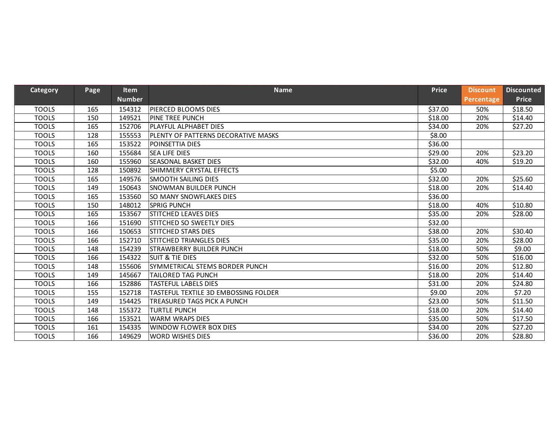| <b>Category</b> | Page | <b>Item</b>   | <b>Name</b>                                 | <b>Price</b> | <b>Discount</b> | <b>Discounted</b> |
|-----------------|------|---------------|---------------------------------------------|--------------|-----------------|-------------------|
|                 |      | <b>Number</b> |                                             |              | Percentage      | <b>Price</b>      |
| <b>TOOLS</b>    | 165  | 154312        | <b>IPIERCED BLOOMS DIES</b>                 | \$37.00      | 50%             | \$18.50           |
| <b>TOOLS</b>    | 150  | 149521        | <b>IPINE TREE PUNCH</b>                     | \$18.00      | 20%             | \$14.40           |
| <b>TOOLS</b>    | 165  | 152706        | <b>IPLAYFUL ALPHABET DIES</b>               | \$34.00      | 20%             | \$27.20           |
| <b>TOOLS</b>    | 128  | 155553        | <b>IPLENTY OF PATTERNS DECORATIVE MASKS</b> | \$8.00       |                 |                   |
| <b>TOOLS</b>    | 165  | 153522        | <b>POINSETTIA DIES</b>                      | \$36.00      |                 |                   |
| <b>TOOLS</b>    | 160  | 155684        | <b>SEA LIFE DIES</b>                        | \$29.00      | 20%             | \$23.20           |
| <b>TOOLS</b>    | 160  | 155960        | <b>SEASONAL BASKET DIES</b>                 | \$32.00      | 40%             | \$19.20           |
| <b>TOOLS</b>    | 128  | 150892        | ISHIMMERY CRYSTAL EFFECTS                   | \$5.00       |                 |                   |
| <b>TOOLS</b>    | 165  | 149576        | <b>SMOOTH SAILING DIES</b>                  | \$32.00      | 20%             | \$25.60           |
| <b>TOOLS</b>    | 149  | 150643        | <b>ISNOWMAN BUILDER PUNCH</b>               | \$18.00      | 20%             | \$14.40           |
| <b>TOOLS</b>    | 165  | 153560        | <b>SO MANY SNOWFLAKES DIES</b>              | \$36.00      |                 |                   |
| <b>TOOLS</b>    | 150  | 148012        | <b>ISPRIG PUNCH</b>                         | \$18.00      | 40%             | \$10.80           |
| <b>TOOLS</b>    | 165  | 153567        | <b>STITCHED LEAVES DIES</b>                 | \$35.00      | 20%             | \$28.00           |
| <b>TOOLS</b>    | 166  | 151690        | ISTITCHED SO SWEETLY DIES                   | \$32.00      |                 |                   |
| <b>TOOLS</b>    | 166  | 150653        | <b>STITCHED STARS DIES</b>                  | \$38.00      | 20%             | \$30.40           |
| <b>TOOLS</b>    | 166  | 152710        | <b>STITCHED TRIANGLES DIES</b>              | \$35.00      | 20%             | \$28.00           |
| <b>TOOLS</b>    | 148  | 154239        | <b>ISTRAWBERRY BUILDER PUNCH</b>            | \$18.00      | 50%             | \$9.00            |
| <b>TOOLS</b>    | 166  | 154322        | <b>SUIT &amp; TIE DIES</b>                  | \$32.00      | 50%             | \$16.00           |
| <b>TOOLS</b>    | 148  | 155606        | ISYMMETRICAL STEMS BORDER PUNCH             | \$16.00      | 20%             | \$12.80           |
| <b>TOOLS</b>    | 149  | 145667        | TAILORED TAG PUNCH                          | \$18.00      | 20%             | \$14.40           |
| <b>TOOLS</b>    | 166  | 152886        | <b>TASTEFUL LABELS DIES</b>                 | \$31.00      | 20%             | \$24.80           |
| <b>TOOLS</b>    | 155  | 152718        | TASTEFUL TEXTILE 3D EMBOSSING FOLDER        | \$9.00       | 20%             | \$7.20            |
| <b>TOOLS</b>    | 149  | 154425        | TREASURED TAGS PICK A PUNCH                 | \$23.00      | 50%             | \$11.50           |
| <b>TOOLS</b>    | 148  | 155372        | TURTLE PUNCH                                | \$18.00      | 20%             | \$14.40           |
| <b>TOOLS</b>    | 166  | 153521        | lWARM WRAPS DIES                            | \$35.00      | 50%             | \$17.50           |
| <b>TOOLS</b>    | 161  | 154335        | <b>WINDOW FLOWER BOX DIES</b>               | \$34.00      | 20%             | \$27.20           |
| <b>TOOLS</b>    | 166  | 149629        | <b>WORD WISHES DIES</b>                     | \$36.00      | 20%             | \$28.80           |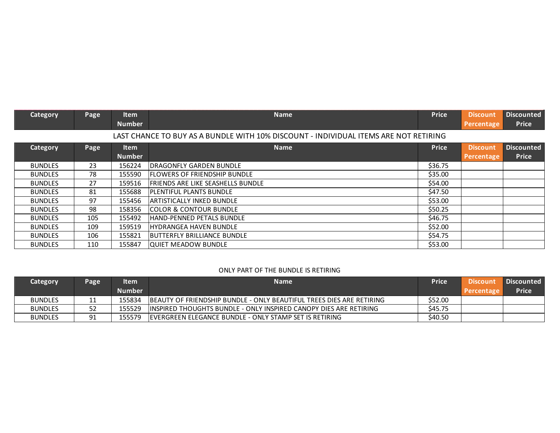| <b>Category</b> | Page | <b>Item</b><br><b>Number</b> | <b>Name</b>                                                                          | <b>Price</b> | Discount<br>Percentage        | Discounted<br><b>Price</b>        |
|-----------------|------|------------------------------|--------------------------------------------------------------------------------------|--------------|-------------------------------|-----------------------------------|
|                 |      |                              | LAST CHANCE TO BUY AS A BUNDLE WITH 10% DISCOUNT - INDIVIDUAL ITEMS ARE NOT RETIRING |              |                               |                                   |
| <b>Category</b> | Page | <b>Item</b><br><b>Number</b> | <b>Name</b>                                                                          | <b>Price</b> | <b>Discount</b><br>Percentage | <b>Discounted</b><br><b>Price</b> |
| <b>BUNDLES</b>  | 23   | 156224                       | IDRAGONFLY GARDEN BUNDLE                                                             | \$36.75      |                               |                                   |
| <b>BUNDLES</b>  | 78   | 155590                       | <b>IFLOWERS OF FRIENDSHIP BUNDLE</b>                                                 | \$35.00      |                               |                                   |
| <b>BUNDLES</b>  | 27   | 159516                       | IFRIENDS ARE LIKE SEASHELLS BUNDLE                                                   | \$54.00      |                               |                                   |
| <b>BUNDLES</b>  | 81   | 155688                       | <b>PLENTIFUL PLANTS BUNDLE</b>                                                       | \$47.50      |                               |                                   |
| <b>BUNDLES</b>  | 97   | 155456                       | <b>ARTISTICALLY INKED BUNDLE</b>                                                     | \$53.00      |                               |                                   |
| <b>BUNDLES</b>  | 98   | 158356                       | <b>COLOR &amp; CONTOUR BUNDLE</b>                                                    | \$50.25      |                               |                                   |
| <b>BUNDLES</b>  | 105  | 155492                       | lHAND-PENNED PETALS BUNDLE                                                           | \$46.75      |                               |                                   |
| <b>BUNDLES</b>  | 109  | 159519                       | <b>HYDRANGEA HAVEN BUNDLE</b>                                                        | \$52.00      |                               |                                   |
| <b>BUNDLES</b>  | 106  | 155821                       | <b>BUTTERFLY BRILLIANCE BUNDLE</b>                                                   | \$54.75      |                               |                                   |
| <b>BUNDLES</b>  | 110  | 155847                       | <b>QUIET MEADOW BUNDLE</b>                                                           | \$53.00      |                               |                                   |

## ONLY PART OF THE BUNDLE IS RETIRING

| Category       | Page | ltem   | Name                                                                        | <b>Price</b> | <b>Discount</b>   | Discounted   |
|----------------|------|--------|-----------------------------------------------------------------------------|--------------|-------------------|--------------|
|                |      | Number |                                                                             |              | <b>Percentage</b> | <b>Price</b> |
| <b>BUNDLES</b> |      | 155834 | <b>BEAUTY OF FRIENDSHIP BUNDLE - ONLY BEAUTIFUL TREES DIES ARE RETIRING</b> | \$52.00      |                   |              |
| <b>BUNDLES</b> | 52   | 155529 | INSPIRED THOUGHTS BUNDLE - ONLY INSPIRED CANOPY DIES ARE RETIRING           | \$45.75      |                   |              |
| <b>BUNDLES</b> | 91   | 155579 | <b>IEVERGREEN ELEGANCE BUNDLE - ONLY STAMP SET IS RETIRING</b>              | \$40.50      |                   |              |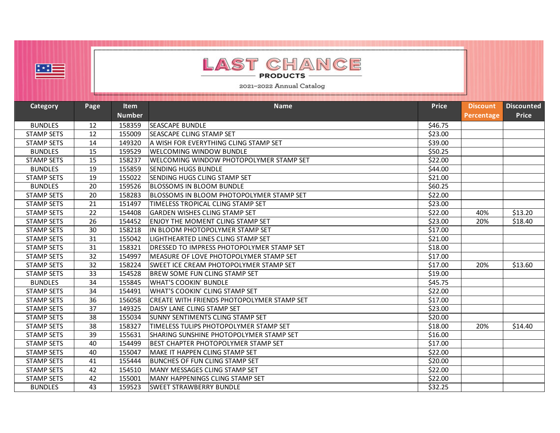| 竺              |      |               | LAST CHANCE<br><b>PRODUCTS</b><br>2021-2022 Annual Catalog |              |            |              |
|----------------|------|---------------|------------------------------------------------------------|--------------|------------|--------------|
| Category       | Page | <b>Item</b>   | <b>Name</b>                                                | <b>Price</b> | Discount   | Discounted   |
|                |      | <b>Number</b> |                                                            |              | Percentage | <b>Price</b> |
| <b>BUNDLES</b> | 12   | 158359        | <b>ISEASCAPE BUNDLE</b>                                    | \$46.75      |            |              |
| STAMP SETS     | 12   | 155009        | ISEASCAPE CLING STAMP SET                                  | \$23.00      |            |              |
| STAMP SETS     | 14   | 149320        | IA WISH FOR EVERYTHING CLING STAMP SET                     | \$39.00      |            |              |
| <b>BUNDLES</b> | 15   | 159529        | WELCOMING WINDOW BUNDLE                                    | \$50.25      |            |              |
| STAMP SETS     | 15   | 158237        | WELCOMING WINDOW PHOTOPOLYMER STAMP SET                    | \$22.00      |            |              |
| <b>BUNDLES</b> | 19   | 155859        | ISENDING HUGS BUNDLE                                       | \$44.00      |            |              |
| STAMP SETS     | 19   | 155022        | lSENDING HUGS CLING STAMP SET                              | \$21.00      |            |              |
| <b>BUNDLES</b> | 20   | 159526        | <b>BLOSSOMS IN BLOOM BUNDLE</b>                            | \$60.25      |            |              |

| <b>BUNDLES</b>    | 19 | 155859 | <b>SENDING HUGS BUNDLE</b>                     | \$44.00 |     |         |
|-------------------|----|--------|------------------------------------------------|---------|-----|---------|
| <b>STAMP SETS</b> | 19 | 155022 | <b>SENDING HUGS CLING STAMP SET</b>            | \$21.00 |     |         |
| <b>BUNDLES</b>    | 20 | 159526 | <b>IBLOSSOMS IN BLOOM BUNDLE</b>               | \$60.25 |     |         |
| <b>STAMP SETS</b> | 20 | 158283 | BLOSSOMS IN BLOOM PHOTOPOLYMER STAMP SET       | \$22.00 |     |         |
| <b>STAMP SETS</b> | 21 | 151497 | ITIMELESS TROPICAL CLING STAMP SET             | \$23.00 |     |         |
| <b>STAMP SETS</b> | 22 | 154408 | IGARDEN WISHES CLING STAMP SET                 | \$22.00 | 40% | \$13.20 |
| <b>STAMP SETS</b> | 26 | 154452 | <b>IENJOY THE MOMENT CLING STAMP SET</b>       | \$23.00 | 20% | \$18.40 |
| <b>STAMP SETS</b> | 30 | 158218 | IIN BLOOM PHOTOPOLYMER STAMP SET               | \$17.00 |     |         |
| <b>STAMP SETS</b> | 31 | 155042 | ILIGHTHEARTED LINES CLING STAMP SET            | \$21.00 |     |         |
| <b>STAMP SETS</b> | 31 | 158321 | IDRESSED TO IMPRESS PHOTOPOLYMER STAMP SET     | \$18.00 |     |         |
| <b>STAMP SETS</b> | 32 | 154997 | IMEASURE OF LOVE PHOTOPOLYMER STAMP SET        | \$17.00 |     |         |
| <b>STAMP SETS</b> | 32 | 158224 | <b>ISWEET ICE CREAM PHOTOPOLYMER STAMP SET</b> | \$17.00 | 20% | \$13.60 |
| <b>STAMP SETS</b> | 33 | 154528 | IBREW SOME FUN CLING STAMP SET                 | \$19.00 |     |         |
| <b>BUNDLES</b>    | 34 | 155845 | IWHAT'S COOKIN' BUNDLE                         | \$45.75 |     |         |
| <b>STAMP SETS</b> | 34 | 154491 | IWHAT'S COOKIN' CLING STAMP SET                | \$22.00 |     |         |
| <b>STAMP SETS</b> | 36 | 156058 | ICREATE WITH FRIENDS PHOTOPOLYMER STAMP SET    | \$17.00 |     |         |
| <b>STAMP SETS</b> | 37 | 149325 | DAISY LANE CLING STAMP SET                     | \$23.00 |     |         |
| <b>STAMP SETS</b> | 38 | 155034 | ISUNNY SENTIMENTS CLING STAMP SET              | \$20.00 |     |         |
| <b>STAMP SETS</b> | 38 | 158327 | ITIMELESS TULIPS PHOTOPOLYMER STAMP SET        | \$18.00 | 20% | \$14.40 |
| <b>STAMP SETS</b> | 39 | 155631 | ISHARING SUNSHINE PHOTOPOLYMER STAMP SET       | \$16.00 |     |         |
| <b>STAMP SETS</b> | 40 | 154499 | IBEST CHAPTER PHOTOPOLYMER STAMP SET           | \$17.00 |     |         |
| <b>STAMP SETS</b> | 40 | 155047 | IMAKE IT HAPPEN CLING STAMP SET                | \$22.00 |     |         |
| <b>STAMP SETS</b> | 41 | 155444 | <b>BUNCHES OF FUN CLING STAMP SET</b>          | \$20.00 |     |         |
| <b>STAMP SETS</b> | 42 | 154510 | IMANY MESSAGES CLING STAMP SET                 | \$22.00 |     |         |
| <b>STAMP SETS</b> | 42 | 155001 | IMANY HAPPENINGS CLING STAMP SET               | \$22.00 |     |         |
| <b>BUNDLES</b>    | 43 | 159523 | <b>SWEET STRAWBERRY BUNDLE</b>                 | \$32.25 |     |         |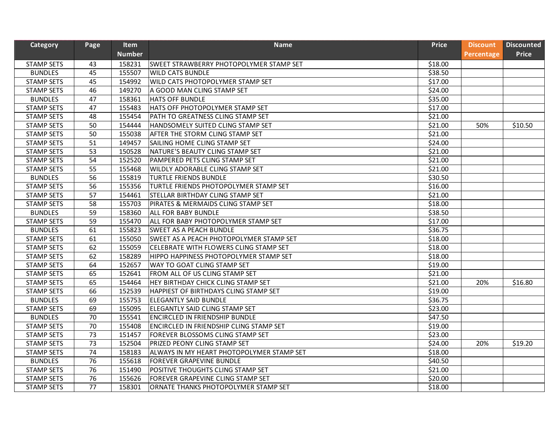| Category          | Page            | ltem          | <b>Name</b>                                    | <b>Price</b> | <b>Discount</b> | <b>Discounted</b> |
|-------------------|-----------------|---------------|------------------------------------------------|--------------|-----------------|-------------------|
|                   |                 | <b>Number</b> |                                                |              | Percentage      | Price             |
| <b>STAMP SETS</b> | 43              | 158231        | ISWEET STRAWBERRY PHOTOPOLYMER STAMP SET       | \$18.00      |                 |                   |
| <b>BUNDLES</b>    | 45              | 155507        | lWILD CATS BUNDLE                              | \$38.50      |                 |                   |
| <b>STAMP SETS</b> | 45              | 154992        | WILD CATS PHOTOPOLYMER STAMP SET               | \$17.00      |                 |                   |
| <b>STAMP SETS</b> | 46              | 149270        | A GOOD MAN CLING STAMP SET                     | \$24.00      |                 |                   |
| <b>BUNDLES</b>    | 47              | 158361        | <b>HATS OFF BUNDLE</b>                         | \$35.00      |                 |                   |
| <b>STAMP SETS</b> | 47              | 155483        | HATS OFF PHOTOPOLYMER STAMP SET                | \$17.00      |                 |                   |
| <b>STAMP SETS</b> | 48              | 155454        | PATH TO GREATNESS CLING STAMP SET              | \$21.00      |                 |                   |
| <b>STAMP SETS</b> | 50              | 154444        | HANDSOMELY SUITED CLING STAMP SET              | \$21.00      | 50%             | \$10.50           |
| <b>STAMP SETS</b> | 50              | 155038        | AFTER THE STORM CLING STAMP SET                | \$21.00      |                 |                   |
| <b>STAMP SETS</b> | 51              | 149457        | SAILING HOME CLING STAMP SET                   | \$24.00      |                 |                   |
| <b>STAMP SETS</b> | 53              | 150528        | NATURE'S BEAUTY CLING STAMP SET                | \$21.00      |                 |                   |
| <b>STAMP SETS</b> | 54              | 152520        | PAMPERED PETS CLING STAMP SET                  | \$21.00      |                 |                   |
| <b>STAMP SETS</b> | 55              | 155468        | WILDLY ADORABLE CLING STAMP SET                | \$21.00      |                 |                   |
| <b>BUNDLES</b>    | 56              | 155819        | <b>TURTLE FRIENDS BUNDLE</b>                   | \$30.50      |                 |                   |
| <b>STAMP SETS</b> | 56              | 155356        | TURTLE FRIENDS PHOTOPOLYMER STAMP SET          | \$16.00      |                 |                   |
| <b>STAMP SETS</b> | 57              | 154461        | ISTELLAR BIRTHDAY CLING STAMP SET              | \$21.00      |                 |                   |
| <b>STAMP SETS</b> | 58              | 155703        | PIRATES & MERMAIDS CLING STAMP SET             | \$18.00      |                 |                   |
| <b>BUNDLES</b>    | 59              | 158360        | <b>ALL FOR BABY BUNDLE</b>                     | \$38.50      |                 |                   |
| <b>STAMP SETS</b> | 59              | 155470        | ALL FOR BABY PHOTOPOLYMER STAMP SET            | \$17.00      |                 |                   |
| <b>BUNDLES</b>    | 61              | 155823        | <b>SWEET AS A PEACH BUNDLE</b>                 | \$36.75      |                 |                   |
| <b>STAMP SETS</b> | 61              | 155050        | ISWEET AS A PEACH PHOTOPOLYMER STAMP SET       | \$18.00      |                 |                   |
| <b>STAMP SETS</b> | 62              | 155059        | CELEBRATE WITH FLOWERS CLING STAMP SET         | \$18.00      |                 |                   |
| <b>STAMP SETS</b> | 62              | 158289        | HIPPO HAPPINESS PHOTOPOLYMER STAMP SET         | \$18.00      |                 |                   |
| <b>STAMP SETS</b> | 64              | 152657        | WAY TO GOAT CLING STAMP SET                    | \$19.00      |                 |                   |
| <b>STAMP SETS</b> | 65              | 152641        | FROM ALL OF US CLING STAMP SET                 | \$21.00      |                 |                   |
| <b>STAMP SETS</b> | 65              | 154464        | HEY BIRTHDAY CHICK CLING STAMP SET             | \$21.00      | 20%             | \$16.80           |
| <b>STAMP SETS</b> | 66              | 152539        | HAPPIEST OF BIRTHDAYS CLING STAMP SET          | \$19.00      |                 |                   |
| <b>BUNDLES</b>    | 69              | 155753        | <b>ELEGANTLY SAID BUNDLE</b>                   | \$36.75      |                 |                   |
| <b>STAMP SETS</b> | 69              | 155095        | ELEGANTLY SAID CLING STAMP SET                 | \$23.00      |                 |                   |
| <b>BUNDLES</b>    | 70              | 155541        | <b>ENCIRCLED IN FRIENDSHIP BUNDLE</b>          | \$47.50      |                 |                   |
| <b>STAMP SETS</b> | 70              | 155408        | <b>ENCIRCLED IN FRIENDSHIP CLING STAMP SET</b> | \$19.00      |                 |                   |
| <b>STAMP SETS</b> | 73              | 151457        | <b>FOREVER BLOSSOMS CLING STAMP SET</b>        | \$23.00      |                 |                   |
| <b>STAMP SETS</b> | 73              | 152504        | <b>PRIZED PEONY CLING STAMP SET</b>            | \$24.00      | 20%             | \$19.20           |
| <b>STAMP SETS</b> | 74              | 158183        | ALWAYS IN MY HEART PHOTOPOLYMER STAMP SET      | \$18.00      |                 |                   |
| <b>BUNDLES</b>    | 76              | 155618        | <b>FOREVER GRAPEVINE BUNDLE</b>                | \$40.50      |                 |                   |
| <b>STAMP SETS</b> | 76              | 151490        | POSITIVE THOUGHTS CLING STAMP SET              | \$21.00      |                 |                   |
| <b>STAMP SETS</b> | 76              | 155626        | FOREVER GRAPEVINE CLING STAMP SET              | \$20.00      |                 |                   |
| <b>STAMP SETS</b> | $\overline{77}$ | 158301        | ORNATE THANKS PHOTOPOLYMER STAMP SET           | \$18.00      |                 |                   |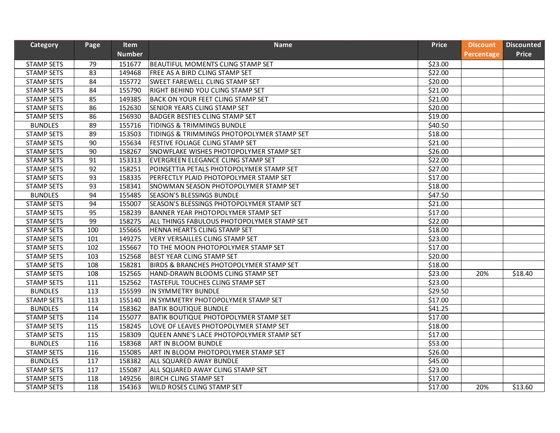| Category          | Page | ltem          | <b>Name</b>                                  | <b>Price</b> | <b>Discount</b> | <b>Discounted</b> |
|-------------------|------|---------------|----------------------------------------------|--------------|-----------------|-------------------|
|                   |      | <b>Number</b> |                                              |              | Percentage      | Price             |
| <b>STAMP SETS</b> | 79   | 151677        | BEAUTIFUL MOMENTS CLING STAMP SET            | \$23.00      |                 |                   |
| <b>STAMP SETS</b> | 83   | 149468        | <b>FREE AS A BIRD CLING STAMP SET</b>        | \$22.00      |                 |                   |
| <b>STAMP SETS</b> | 84   | 155772        | <b>SWEET FAREWELL CLING STAMP SET</b>        | \$20.00      |                 |                   |
| <b>STAMP SETS</b> | 84   | 155790        | RIGHT BEHIND YOU CLING STAMP SET             | \$21.00      |                 |                   |
| <b>STAMP SETS</b> | 85   | 149385        | <b>BACK ON YOUR FEET CLING STAMP SET</b>     | \$21.00      |                 |                   |
| <b>STAMP SETS</b> | 86   | 152630        | <b>SENIOR YEARS CLING STAMP SET</b>          | \$20.00      |                 |                   |
| <b>STAMP SETS</b> | 86   | 156930        | <b>BADGER BESTIES CLING STAMP SET</b>        | \$19.00      |                 |                   |
| <b>BUNDLES</b>    | 89   | 155716        | TIDINGS & TRIMMINGS BUNDLE                   | \$40.50      |                 |                   |
| <b>STAMP SETS</b> | 89   | 153503        | TIDINGS & TRIMMINGS PHOTOPOLYMER STAMP SET   | \$18.00      |                 |                   |
| <b>STAMP SETS</b> | 90   | 155634        | <b>FESTIVE FOLIAGE CLING STAMP SET</b>       | \$21.00      |                 |                   |
| <b>STAMP SETS</b> | 90   | 158267        | SNOWFLAKE WISHES PHOTOPOLYMER STAMP SET      | \$26.00      |                 |                   |
| <b>STAMP SETS</b> | 91   | 153313        | EVERGREEN ELEGANCE CLING STAMP SET           | \$22.00      |                 |                   |
| <b>STAMP SETS</b> | 92   | 158251        | POINSETTIA PETALS PHOTOPOLYMER STAMP SET     | \$27.00      |                 |                   |
| <b>STAMP SETS</b> | 93   | 158335        | PERFECTLY PLAID PHOTOPOLYMER STAMP SET       | \$17.00      |                 |                   |
| <b>STAMP SETS</b> | 93   | 158341        | SNOWMAN SEASON PHOTOPOLYMER STAMP SET        | \$18.00      |                 |                   |
| <b>BUNDLES</b>    | 94   | 155485        | <b>SEASON'S BLESSINGS BUNDLE</b>             | \$47.50      |                 |                   |
| <b>STAMP SETS</b> | 94   | 155007        | SEASON'S BLESSINGS PHOTOPOLYMER STAMP SET    | \$21.00      |                 |                   |
| <b>STAMP SETS</b> | 95   | 158239        | <b>BANNER YEAR PHOTOPOLYMER STAMP SET</b>    | \$17.00      |                 |                   |
| <b>STAMP SETS</b> | 99   | 158275        | ALL THINGS FABULOUS PHOTOPOLYMER STAMP SET   | \$22.00      |                 |                   |
| <b>STAMP SETS</b> | 100  | 155665        | HENNA HEARTS CLING STAMP SET                 | \$18.00      |                 |                   |
| <b>STAMP SETS</b> | 101  | 149275        | VERY VERSAILLES CLING STAMP SET              | \$23.00      |                 |                   |
| <b>STAMP SETS</b> | 102  | 155667        | TO THE MOON PHOTOPOLYMER STAMP SET           | \$17.00      |                 |                   |
| <b>STAMP SETS</b> | 103  | 152568        | <b>BEST YEAR CLING STAMP SET</b>             | \$20.00      |                 |                   |
| <b>STAMP SETS</b> | 108  | 158281        | BIRDS & BRANCHES PHOTOPOLYMER STAMP SET      | \$18.00      |                 |                   |
| <b>STAMP SETS</b> | 108  | 152565        | HAND-DRAWN BLOOMS CLING STAMP SET            | \$23.00      | 20%             | \$18.40           |
| <b>STAMP SETS</b> | 111  | 152562        | <b>TASTEFUL TOUCHES CLING STAMP SET</b>      | \$23.00      |                 |                   |
| <b>BUNDLES</b>    | 113  | 155599        | IN SYMMETRY BUNDLE                           | \$29.50      |                 |                   |
| <b>STAMP SETS</b> | 113  | 155140        | IN SYMMETRY PHOTOPOLYMER STAMP SET           | \$17.00      |                 |                   |
| <b>BUNDLES</b>    | 114  | 158362        | <b>BATIK BOUTIQUE BUNDLE</b>                 | \$41.25      |                 |                   |
| <b>STAMP SETS</b> | 114  | 155077        | <b>BATIK BOUTIQUE PHOTOPOLYMER STAMP SET</b> | \$17.00      |                 |                   |
| <b>STAMP SETS</b> | 115  | 158245        | LOVE OF LEAVES PHOTOPOLYMER STAMP SET        | \$18.00      |                 |                   |
| <b>STAMP SETS</b> | 115  | 158309        | QUEEN ANNE'S LACE PHOTOPOLYMER STAMP SET     | \$17.00      |                 |                   |
| <b>BUNDLES</b>    | 116  | 158368        | ART IN BLOOM BUNDLE                          | \$53.00      |                 |                   |
| <b>STAMP SETS</b> | 116  | 155085        | ART IN BLOOM PHOTOPOLYMER STAMP SET          | \$26.00      |                 |                   |
| <b>BUNDLES</b>    | 117  | 158382        | ALL SQUARED AWAY BUNDLE                      | \$45.00      |                 |                   |
| <b>STAMP SETS</b> | 117  | 155087        | ALL SQUARED AWAY CLING STAMP SET             | \$23.00      |                 |                   |
| <b>STAMP SETS</b> | 118  | 149256        | <b>BIRCH CLING STAMP SET</b>                 | \$17.00      |                 |                   |
| <b>STAMP SETS</b> | 118  | 154363        | <b>WILD ROSES CLING STAMP SET</b>            | \$17.00      | 20%             | \$13.60           |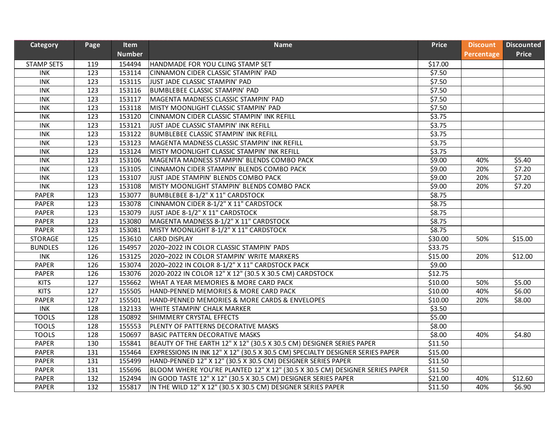| Category          | Page | <b>Item</b>   | <b>Name</b>                                                                   | <b>Price</b> | <b>Discount</b> | <b>Discounted</b> |
|-------------------|------|---------------|-------------------------------------------------------------------------------|--------------|-----------------|-------------------|
|                   |      | <b>Number</b> |                                                                               |              | Percentage      | Price             |
| <b>STAMP SETS</b> | 119  | 154494        | HANDMADE FOR YOU CLING STAMP SET                                              | \$17.00      |                 |                   |
| <b>INK</b>        | 123  | 153114        | CINNAMON CIDER CLASSIC STAMPIN' PAD                                           | \$7.50       |                 |                   |
| <b>INK</b>        | 123  | 153115        | JUST JADE CLASSIC STAMPIN' PAD                                                | \$7.50       |                 |                   |
| <b>INK</b>        | 123  | 153116        | BUMBLEBEE CLASSIC STAMPIN' PAD                                                | \$7.50       |                 |                   |
| <b>INK</b>        | 123  | 153117        | MAGENTA MADNESS CLASSIC STAMPIN' PAD                                          | \$7.50       |                 |                   |
| <b>INK</b>        | 123  | 153118        | MISTY MOONLIGHT CLASSIC STAMPIN' PAD                                          | \$7.50       |                 |                   |
| <b>INK</b>        | 123  | 153120        | CINNAMON CIDER CLASSIC STAMPIN' INK REFILL                                    | \$3.75       |                 |                   |
| <b>INK</b>        | 123  | 153121        | JUST JADE CLASSIC STAMPIN' INK REFILL                                         | \$3.75       |                 |                   |
| <b>INK</b>        | 123  | 153122        | <b>BUMBLEBEE CLASSIC STAMPIN' INK REFILL</b>                                  | \$3.75       |                 |                   |
| <b>INK</b>        | 123  | 153123        | MAGENTA MADNESS CLASSIC STAMPIN' INK REFILL                                   | \$3.75       |                 |                   |
| <b>INK</b>        | 123  | 153124        | MISTY MOONLIGHT CLASSIC STAMPIN' INK REFILL                                   | \$3.75       |                 |                   |
| <b>INK</b>        | 123  | 153106        | MAGENTA MADNESS STAMPIN' BLENDS COMBO PACK                                    | \$9.00       | 40%             | \$5.40            |
| <b>INK</b>        | 123  | 153105        | CINNAMON CIDER STAMPIN' BLENDS COMBO PACK                                     | \$9.00       | 20%             | \$7.20            |
| <b>INK</b>        | 123  | 153107        | JUST JADE STAMPIN' BLENDS COMBO PACK                                          | \$9.00       | 20%             | \$7.20            |
| <b>INK</b>        | 123  | 153108        | MISTY MOONLIGHT STAMPIN' BLENDS COMBO PACK                                    | \$9.00       | 20%             | \$7.20            |
| PAPER             | 123  | 153077        | BUMBLEBEE 8-1/2" X 11" CARDSTOCK                                              | \$8.75       |                 |                   |
| <b>PAPER</b>      | 123  | 153078        | CINNAMON CIDER 8-1/2" X 11" CARDSTOCK                                         | \$8.75       |                 |                   |
| <b>PAPER</b>      | 123  | 153079        | JUST JADE 8-1/2" X 11" CARDSTOCK                                              | \$8.75       |                 |                   |
| <b>PAPER</b>      | 123  | 153080        | MAGENTA MADNESS 8-1/2" X 11" CARDSTOCK                                        | \$8.75       |                 |                   |
| <b>PAPER</b>      | 123  | 153081        | MISTY MOONLIGHT 8-1/2" X 11" CARDSTOCK                                        | \$8.75       |                 |                   |
| STORAGE           | 125  | 153610        | <b>CARD DISPLAY</b>                                                           | \$30.00      | 50%             | \$15.00           |
| <b>BUNDLES</b>    | 126  | 154957        | 2020-2022 IN COLOR CLASSIC STAMPIN' PADS                                      | \$33.75      |                 |                   |
| <b>INK</b>        | 126  | 153125        | 2020-2022 IN COLOR STAMPIN' WRITE MARKERS                                     | \$15.00      | 20%             | \$12.00           |
| <b>PAPER</b>      | 126  | 153074        | 2020-2022 IN COLOR 8-1/2" X 11" CARDSTOCK PACK                                | \$9.00       |                 |                   |
| <b>PAPER</b>      | 126  | 153076        | 2020-2022 IN COLOR 12" X 12" (30.5 X 30.5 CM) CARDSTOCK                       | \$12.75      |                 |                   |
| <b>KITS</b>       | 127  | 155662        | <b>WHAT A YEAR MEMORIES &amp; MORE CARD PACK</b>                              | \$10.00      | 50%             | \$5.00            |
| <b>KITS</b>       | 127  | 155505        | HAND-PENNED MEMORIES & MORE CARD PACK                                         | \$10.00      | 40%             | \$6.00            |
| PAPER             | 127  | 155501        | HAND-PENNED MEMORIES & MORE CARDS & ENVELOPES                                 | \$10.00      | 20%             | \$8.00            |
| INK               | 128  | 132133        | WHITE STAMPIN' CHALK MARKER                                                   | \$3.50       |                 |                   |
| <b>TOOLS</b>      | 128  | 150892        | SHIMMERY CRYSTAL EFFECTS                                                      | \$5.00       |                 |                   |
| <b>TOOLS</b>      | 128  | 155553        | PLENTY OF PATTERNS DECORATIVE MASKS                                           | \$8.00       |                 |                   |
| <b>TOOLS</b>      | 128  | 150697        | <b>BASIC PATTERN DECORATIVE MASKS</b>                                         | \$8.00       | 40%             | \$4.80            |
| <b>PAPER</b>      | 130  | 155841        | BEAUTY OF THE EARTH 12" X 12" (30.5 X 30.5 CM) DESIGNER SERIES PAPER          | \$11.50      |                 |                   |
| <b>PAPER</b>      | 131  | 155464        | EXPRESSIONS IN INK 12" X 12" (30.5 X 30.5 CM) SPECIALTY DESIGNER SERIES PAPER | \$15.00      |                 |                   |
| <b>PAPER</b>      | 131  | 155499        | HAND-PENNED 12" X 12" (30.5 X 30.5 CM) DESIGNER SERIES PAPER                  | \$11.50      |                 |                   |
| <b>PAPER</b>      | 131  | 155696        | BLOOM WHERE YOU'RE PLANTED 12" X 12" (30.5 X 30.5 CM) DESIGNER SERIES PAPER   | \$11.50      |                 |                   |
| PAPER             | 132  | 152494        | IN GOOD TASTE 12" X 12" (30.5 X 30.5 CM) DESIGNER SERIES PAPER                | \$21.00      | 40%             | \$12.60           |
| <b>PAPER</b>      | 132  | 155817        | IN THE WILD 12" X 12" (30.5 X 30.5 CM) DESIGNER SERIES PAPER                  | \$11.50      | 40%             | \$6.90            |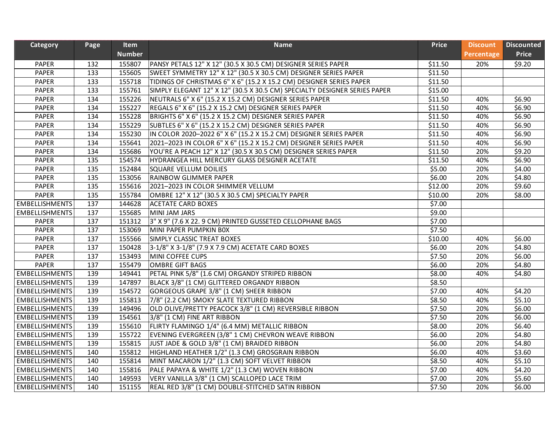| Category              | Page | <b>Item</b>   | <b>Name</b>                                                               | <b>Price</b> | <b>Discount</b> | <b>Discounted</b> |
|-----------------------|------|---------------|---------------------------------------------------------------------------|--------------|-----------------|-------------------|
|                       |      | <b>Number</b> |                                                                           |              | Percentage      | Price             |
| PAPER                 | 132  | 155807        | PANSY PETALS 12" X 12" (30.5 X 30.5 CM) DESIGNER SERIES PAPER             | \$11.50      | 20%             | \$9.20            |
| <b>PAPER</b>          | 133  | 155605        | SWEET SYMMETRY 12" X 12" (30.5 X 30.5 CM) DESIGNER SERIES PAPER           | \$11.50      |                 |                   |
| <b>PAPER</b>          | 133  | 155718        | TIDINGS OF CHRISTMAS 6" X 6" (15.2 X 15.2 CM) DESIGNER SERIES PAPER       | \$11.50      |                 |                   |
| <b>PAPER</b>          | 133  | 155761        | SIMPLY ELEGANT 12" X 12" (30.5 X 30.5 CM) SPECIALTY DESIGNER SERIES PAPER | \$15.00      |                 |                   |
| <b>PAPER</b>          | 134  | 155226        | NEUTRALS 6" X 6" (15.2 X 15.2 CM) DESIGNER SERIES PAPER                   | \$11.50      | 40%             | \$6.90            |
| <b>PAPER</b>          | 134  | 155227        | REGALS 6" X 6" (15.2 X 15.2 CM) DESIGNER SERIES PAPER                     | \$11.50      | 40%             | \$6.90            |
| PAPER                 | 134  | 155228        | BRIGHTS 6" X 6" (15.2 X 15.2 CM) DESIGNER SERIES PAPER                    | \$11.50      | 40%             | \$6.90            |
| PAPER                 | 134  | 155229        | SUBTLES 6" X 6" (15.2 X 15.2 CM) DESIGNER SERIES PAPER                    | \$11.50      | 40%             | \$6.90            |
| PAPER                 | 134  | 155230        | IN COLOR 2020-2022 6" X 6" (15.2 X 15.2 CM) DESIGNER SERIES PAPER         | \$11.50      | 40%             | \$6.90            |
| <b>PAPER</b>          | 134  | 155641        | 2021-2023 IN COLOR 6" X 6" (15.2 X 15.2 CM) DESIGNER SERIES PAPER         | \$11.50      | 40%             | \$6.90            |
| PAPER                 | 134  | 155686        | YOU'RE A PEACH 12" X 12" (30.5 X 30.5 CM) DESIGNER SERIES PAPER           | \$11.50      | 20%             | \$9.20            |
| <b>PAPER</b>          | 135  | 154574        | HYDRANGEA HILL MERCURY GLASS DESIGNER ACETATE                             | \$11.50      | 40%             | \$6.90            |
| <b>PAPER</b>          | 135  | 152484        | SQUARE VELLUM DOILIES                                                     | \$5.00       | 20%             | \$4.00            |
| <b>PAPER</b>          | 135  | 153056        | <b>RAINBOW GLIMMER PAPER</b>                                              | \$6.00       | 20%             | \$4.80            |
| PAPER                 | 135  | 155616        | 2021-2023 IN COLOR SHIMMER VELLUM                                         | \$12.00      | 20%             | \$9.60            |
| <b>PAPER</b>          | 135  | 155784        | OMBRE 12" X 12" (30.5 X 30.5 CM) SPECIALTY PAPER                          | \$10.00      | 20%             | \$8.00            |
| <b>EMBELLISHMENTS</b> | 137  | 144628        | <b>ACETATE CARD BOXES</b>                                                 | \$7.00       |                 |                   |
| <b>EMBELLISHMENTS</b> | 137  | 155685        | MINI JAM JARS                                                             | \$9.00       |                 |                   |
| <b>PAPER</b>          | 137  | 151312        | 3" X 9" (7.6 X 22. 9 CM) PRINTED GUSSETED CELLOPHANE BAGS                 | \$7.00       |                 |                   |
| PAPER                 | 137  | 153069        | MINI PAPER PUMPKIN BOX                                                    | \$7.50       |                 |                   |
| <b>PAPER</b>          | 137  | 155566        | SIMPLY CLASSIC TREAT BOXES                                                | \$10.00      | 40%             | \$6.00            |
| PAPER                 | 137  | 150428        | 3-1/8" X 3-1/8" (7.9 X 7.9 CM) ACETATE CARD BOXES                         | \$6.00       | 20%             | \$4.80            |
| PAPER                 | 137  | 153493        | MINI COFFEE CUPS                                                          | \$7.50       | 20%             | \$6.00            |
| <b>PAPER</b>          | 137  | 155479        | <b>OMBRE GIFT BAGS</b>                                                    | \$6.00       | 20%             | \$4.80            |
| <b>EMBELLISHMENTS</b> | 139  | 149441        | PETAL PINK 5/8" (1.6 CM) ORGANDY STRIPED RIBBON                           | \$8.00       | 40%             | \$4.80            |
| <b>EMBELLISHMENTS</b> | 139  | 147897        | BLACK 3/8" (1 CM) GLITTERED ORGANDY RIBBON                                | \$8.50       |                 |                   |
| <b>EMBELLISHMENTS</b> | 139  | 154572        | GORGEOUS GRAPE 3/8" (1 CM) SHEER RIBBON                                   | \$7.00       | 40%             | \$4.20            |
| <b>EMBELLISHMENTS</b> | 139  | 155813        | 7/8" (2.2 CM) SMOKY SLATE TEXTURED RIBBON                                 | \$8.50       | 40%             | \$5.10            |
| <b>EMBELLISHMENTS</b> | 139  | 149496        | OLD OLIVE/PRETTY PEACOCK 3/8" (1 CM) REVERSIBLE RIBBON                    | \$7.50       | 20%             | \$6.00            |
| <b>EMBELLISHMENTS</b> | 139  | 154561        | 3/8" (1 CM) FINE ART RIBBON                                               | \$7.50       | 20%             | \$6.00            |
| <b>EMBELLISHMENTS</b> | 139  | 155610        | FLIRTY FLAMINGO 1/4" (6.4 MM) METALLIC RIBBON                             | \$8.00       | 20%             | \$6.40            |
| <b>EMBELLISHMENTS</b> | 139  | 155722        | EVENING EVERGREEN (3/8" 1 CM) CHEVRON WEAVE RIBBON                        | \$6.00       | 20%             | \$4.80            |
| <b>EMBELLISHMENTS</b> | 139  | 155815        | JUST JADE & GOLD 3/8" (1 CM) BRAIDED RIBBON                               | \$6.00       | 20%             | \$4.80            |
| <b>EMBELLISHMENTS</b> | 140  | 155812        | HIGHLAND HEATHER 1/2" (1.3 CM) GROSGRAIN RIBBON                           | \$6.00       | 40%             | \$3.60            |
| <b>EMBELLISHMENTS</b> | 140  | 155814        | MINT MACARON 1/2" (1.3 CM) SOFT VELVET RIBBON                             | \$8.50       | 40%             | \$5.10            |
| <b>EMBELLISHMENTS</b> | 140  | 155816        | PALE PAPAYA & WHITE 1/2" (1.3 CM) WOVEN RIBBON                            | \$7.00       | 40%             | \$4.20            |
| <b>EMBELLISHMENTS</b> | 140  | 149593        | VERY VANILLA 3/8" (1 CM) SCALLOPED LACE TRIM                              | \$7.00       | 20%             | \$5.60            |
| <b>EMBELLISHMENTS</b> | 140  | 151155        | REAL RED 3/8" (1 CM) DOUBLE-STITCHED SATIN RIBBON                         | \$7.50       | 20%             | \$6.00            |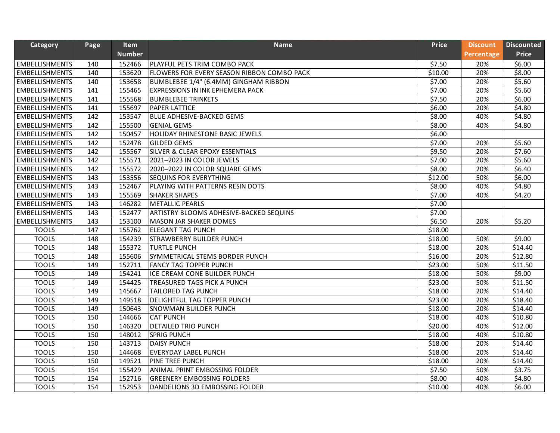| Category              | Page | ltem          | <b>Name</b>                                | <b>Price</b> | <b>Discount</b> | <b>Discounted</b> |
|-----------------------|------|---------------|--------------------------------------------|--------------|-----------------|-------------------|
|                       |      | <b>Number</b> |                                            |              | Percentage      | <b>Price</b>      |
| <b>EMBELLISHMENTS</b> | 140  | 152466        | PLAYFUL PETS TRIM COMBO PACK               | \$7.50       | 20%             | \$6.00            |
| <b>EMBELLISHMENTS</b> | 140  | 153620        | FLOWERS FOR EVERY SEASON RIBBON COMBO PACK | \$10.00      | 20%             | \$8.00            |
| <b>EMBELLISHMENTS</b> | 140  | 153658        | BUMBLEBEE 1/4" (6.4MM) GINGHAM RIBBON      | \$7.00       | 20%             | \$5.60            |
| <b>EMBELLISHMENTS</b> | 141  | 155465        | EXPRESSIONS IN INK EPHEMERA PACK           | \$7.00       | 20%             | \$5.60            |
| <b>EMBELLISHMENTS</b> | 141  | 155568        | <b>BUMBLEBEE TRINKETS</b>                  | \$7.50       | 20%             | \$6.00            |
| <b>EMBELLISHMENTS</b> | 141  | 155697        | <b>PAPER LATTICE</b>                       | \$6.00       | 20%             | \$4.80            |
| <b>EMBELLISHMENTS</b> | 142  | 153547        | <b>BLUE ADHESIVE-BACKED GEMS</b>           | \$8.00       | 40%             | \$4.80            |
| <b>EMBELLISHMENTS</b> | 142  | 155500        | <b>GENIAL GEMS</b>                         | \$8.00       | 40%             | \$4.80            |
| <b>EMBELLISHMENTS</b> | 142  | 150457        | HOLIDAY RHINESTONE BASIC JEWELS            | \$6.00       |                 |                   |
| <b>EMBELLISHMENTS</b> | 142  | 152478        | <b>GILDED GEMS</b>                         | \$7.00       | 20%             | \$5.60            |
| <b>EMBELLISHMENTS</b> | 142  | 155567        | SILVER & CLEAR EPOXY ESSENTIALS            | \$9.50       | 20%             | \$7.60            |
| <b>EMBELLISHMENTS</b> | 142  | 155571        | 2021-2023 IN COLOR JEWELS                  | \$7.00       | 20%             | \$5.60            |
| <b>EMBELLISHMENTS</b> | 142  | 155572        | 2020-2022 IN COLOR SQUARE GEMS             | \$8.00       | 20%             | \$6.40            |
| <b>EMBELLISHMENTS</b> | 143  | 153556        | <b>SEQUINS FOR EVERYTHING</b>              | \$12.00      | 50%             | \$6.00            |
| <b>EMBELLISHMENTS</b> | 143  | 152467        | PLAYING WITH PATTERNS RESIN DOTS           | \$8.00       | 40%             | \$4.80            |
| <b>EMBELLISHMENTS</b> | 143  | 155569        | <b>SHAKER SHAPES</b>                       | \$7.00       | 40%             | \$4.20            |
| <b>EMBELLISHMENTS</b> | 143  | 146282        | <b>METALLIC PEARLS</b>                     | \$7.00       |                 |                   |
| <b>EMBELLISHMENTS</b> | 143  | 152477        | ARTISTRY BLOOMS ADHESIVE-BACKED SEQUINS    | \$7.00       |                 |                   |
| <b>EMBELLISHMENTS</b> | 143  | 153100        | <b>MASON JAR SHAKER DOMES</b>              | \$6.50       | 20%             | \$5.20            |
| <b>TOOLS</b>          | 147  | 155762        | <b>ELEGANT TAG PUNCH</b>                   | \$18.00      |                 |                   |
| <b>TOOLS</b>          | 148  | 154239        | <b>STRAWBERRY BUILDER PUNCH</b>            | \$18.00      | 50%             | \$9.00            |
| <b>TOOLS</b>          | 148  | 155372        | <b>TURTLE PUNCH</b>                        | \$18.00      | 20%             | \$14.40           |
| <b>TOOLS</b>          | 148  | 155606        | SYMMETRICAL STEMS BORDER PUNCH             | \$16.00      | 20%             | \$12.80           |
| <b>TOOLS</b>          | 149  | 152711        | <b>FANCY TAG TOPPER PUNCH</b>              | \$23.00      | 50%             | \$11.50           |
| <b>TOOLS</b>          | 149  | 154241        | ICE CREAM CONE BUILDER PUNCH               | \$18.00      | 50%             | \$9.00            |
| <b>TOOLS</b>          | 149  | 154425        | TREASURED TAGS PICK A PUNCH                | \$23.00      | 50%             | \$11.50           |
| <b>TOOLS</b>          | 149  | 145667        | TAILORED TAG PUNCH                         | \$18.00      | 20%             | \$14.40           |
| <b>TOOLS</b>          | 149  | 149518        | DELIGHTFUL TAG TOPPER PUNCH                | \$23.00      | 20%             | \$18.40           |
| <b>TOOLS</b>          | 149  | 150643        | <b>SNOWMAN BUILDER PUNCH</b>               | \$18.00      | 20%             | \$14.40           |
| <b>TOOLS</b>          | 150  | 144666        | <b>CAT PUNCH</b>                           | \$18.00      | 40%             | \$10.80           |
| <b>TOOLS</b>          | 150  | 146320        | <b>DETAILED TRIO PUNCH</b>                 | \$20.00      | 40%             | \$12.00           |
| <b>TOOLS</b>          | 150  | 148012        | <b>SPRIG PUNCH</b>                         | \$18.00      | 40%             | \$10.80           |
| <b>TOOLS</b>          | 150  | 143713        | <b>DAISY PUNCH</b>                         | \$18.00      | 20%             | \$14.40           |
| <b>TOOLS</b>          | 150  | 144668        | <b>EVERYDAY LABEL PUNCH</b>                | 518.00       | 20%             | \$14.40           |
| <b>TOOLS</b>          | 150  | 149521        | PINE TREE PUNCH                            | \$18.00      | 20%             | \$14.40           |
| <b>TOOLS</b>          | 154  | 155429        | ANIMAL PRINT EMBOSSING FOLDER              | \$7.50       | 50%             | \$3.75            |
| <b>TOOLS</b>          | 154  | 152716        | <b>GREENERY EMBOSSING FOLDERS</b>          | \$8.00       | 40%             | \$4.80            |
| <b>TOOLS</b>          | 154  | 152953        | DANDELIONS 3D EMBOSSING FOLDER             | \$10.00      | 40%             | \$6.00            |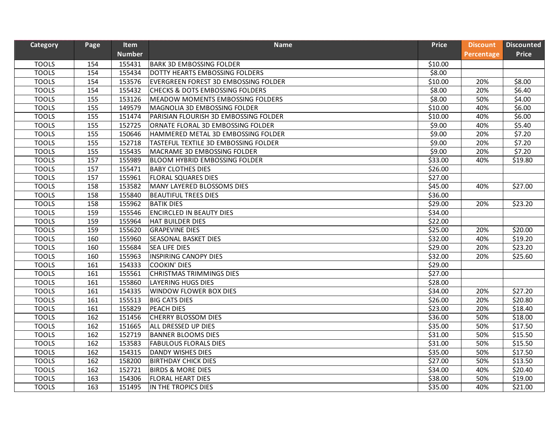| Category     | Page | <b>Item</b><br><b>Number</b> | <b>Name</b>                                | <b>Price</b>        | <b>Discount</b><br><b>Percentage</b> | <b>Discounted</b><br><b>Price</b> |
|--------------|------|------------------------------|--------------------------------------------|---------------------|--------------------------------------|-----------------------------------|
| <b>TOOLS</b> | 154  | 155431                       | <b>BARK 3D EMBOSSING FOLDER</b>            | \$10.00             |                                      |                                   |
| <b>TOOLS</b> | 154  | 155434                       | DOTTY HEARTS EMBOSSING FOLDERS             | \$8.00              |                                      |                                   |
| <b>TOOLS</b> | 154  | 153576                       | EVERGREEN FOREST 3D EMBOSSING FOLDER       | \$10.00             | 20%                                  | \$8.00                            |
| <b>TOOLS</b> | 154  | 155432                       | <b>CHECKS &amp; DOTS EMBOSSING FOLDERS</b> | \$8.00              | 20%                                  | \$6.40                            |
| <b>TOOLS</b> | 155  | 153126                       | MEADOW MOMENTS EMBOSSING FOLDERS           | \$8.00              | 50%                                  | \$4.00                            |
| <b>TOOLS</b> | 155  | 149579                       | MAGNOLIA 3D EMBOSSING FOLDER               | \$10.00             | 40%                                  | \$6.00                            |
| <b>TOOLS</b> | 155  | 151474                       | PARISIAN FLOURISH 3D EMBOSSING FOLDER      | \$10.00             | 40%                                  | \$6.00                            |
| <b>TOOLS</b> | 155  | 152725                       | ORNATE FLORAL 3D EMBOSSING FOLDER          | \$9.00              | 40%                                  | \$5.40                            |
| <b>TOOLS</b> | 155  | 150646                       | HAMMERED METAL 3D EMBOSSING FOLDER         | \$9.00              | 20%                                  | \$7.20                            |
| <b>TOOLS</b> | 155  | 152718                       | TASTEFUL TEXTILE 3D EMBOSSING FOLDER       | \$9.00              | 20%                                  | \$7.20                            |
| <b>TOOLS</b> | 155  | 155435                       | MACRAME 3D EMBOSSING FOLDER                | \$9.00              | 20%                                  | \$7.20                            |
| <b>TOOLS</b> | 157  | 155989                       | <b>BLOOM HYBRID EMBOSSING FOLDER</b>       | \$33.00             | 40%                                  | \$19.80                           |
| <b>TOOLS</b> | 157  | 155471                       | <b>BABY CLOTHES DIES</b>                   | \$26.00             |                                      |                                   |
| <b>TOOLS</b> | 157  | 155961                       | <b>FLORAL SQUARES DIES</b>                 | \$27.00             |                                      |                                   |
| <b>TOOLS</b> | 158  | 153582                       | MANY LAYERED BLOSSOMS DIES                 | \$45.00             | 40%                                  | \$27.00                           |
| <b>TOOLS</b> | 158  | 155840                       | <b>BEAUTIFUL TREES DIES</b>                | \$36.00             |                                      |                                   |
| <b>TOOLS</b> | 158  | 155962                       | <b>BATIK DIES</b>                          | \$29.00             | 20%                                  | \$23.20                           |
| <b>TOOLS</b> | 159  | 155546                       | <b>ENCIRCLED IN BEAUTY DIES</b>            | \$34.00             |                                      |                                   |
| <b>TOOLS</b> | 159  | 155964                       | HAT BUILDER DIES                           | \$22.00             |                                      |                                   |
| <b>TOOLS</b> | 159  | 155620                       | <b>GRAPEVINE DIES</b>                      | \$25.00             | 20%                                  | \$20.00                           |
| <b>TOOLS</b> | 160  | 155960                       | <b>SEASONAL BASKET DIES</b>                | \$32.00             | 40%                                  | \$19.20                           |
| <b>TOOLS</b> | 160  | 155684                       | <b>SEA LIFE DIES</b>                       | \$29.00             | 20%                                  | \$23.20                           |
| <b>TOOLS</b> | 160  | 155963                       | <b>INSPIRING CANOPY DIES</b>               | \$32.00             | 20%                                  | \$25.60                           |
| <b>TOOLS</b> | 161  | 154333                       | <b>COOKIN' DIES</b>                        | \$29.00             |                                      |                                   |
| <b>TOOLS</b> | 161  | 155561                       | <b>CHRISTMAS TRIMMINGS DIES</b>            | $\overline{$}27.00$ |                                      |                                   |
| <b>TOOLS</b> | 161  | 155860                       | <b>LAYERING HUGS DIES</b>                  | \$28.00             |                                      |                                   |
| <b>TOOLS</b> | 161  | 154335                       | <b>WINDOW FLOWER BOX DIES</b>              | \$34.00             | 20%                                  | \$27.20                           |
| <b>TOOLS</b> | 161  | 155513                       | <b>BIG CATS DIES</b>                       | \$26.00             | 20%                                  | \$20.80                           |
| <b>TOOLS</b> | 161  | 155829                       | <b>PEACH DIES</b>                          | $\overline{$}23.00$ | 20%                                  | \$18.40                           |
| <b>TOOLS</b> | 162  | 151456                       | <b>CHERRY BLOSSOM DIES</b>                 | \$36.00             | 50%                                  | \$18.00                           |
| <b>TOOLS</b> | 162  | 151665                       | ALL DRESSED UP DIES                        | \$35.00             | 50%                                  | \$17.50                           |
| <b>TOOLS</b> | 162  | 152719                       | <b>BANNER BLOOMS DIES</b>                  | \$31.00             | 50%                                  | \$15.50                           |
| <b>TOOLS</b> | 162  | 153583                       | <b>FABULOUS FLORALS DIES</b>               | \$31.00             | 50%                                  | \$15.50                           |
| <b>TOOLS</b> | 162  | 154315                       | <b>DANDY WISHES DIES</b>                   | \$35.00             | 50%                                  | \$17.50                           |
| <b>TOOLS</b> | 162  | 158200                       | <b>BIRTHDAY CHICK DIES</b>                 | \$27.00             | 50%                                  | \$13.50                           |
| <b>TOOLS</b> | 162  | 152721                       | <b>BIRDS &amp; MORE DIES</b>               | \$34.00             | 40%                                  | \$20.40                           |
| <b>TOOLS</b> | 163  | 154306                       | <b>FLORAL HEART DIES</b>                   | \$38.00             | 50%                                  | \$19.00                           |
| <b>TOOLS</b> | 163  | 151495                       | IN THE TROPICS DIES                        | \$35.00             | 40%                                  | \$21.00                           |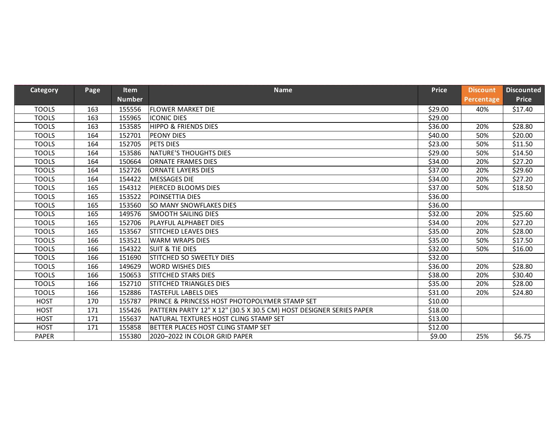| <b>Category</b> | Page | <b>Item</b>   | <b>Name</b>                                                         | <b>Price</b> | <b>Discount</b> | <b>Discounted</b> |
|-----------------|------|---------------|---------------------------------------------------------------------|--------------|-----------------|-------------------|
|                 |      | <b>Number</b> |                                                                     |              | Percentage      | <b>Price</b>      |
| <b>TOOLS</b>    | 163  | 155556        | <b>IFLOWER MARKET DIE</b>                                           | \$29.00      | 40%             | \$17.40           |
| <b>TOOLS</b>    | 163  | 155965        | <b>ICONIC DIES</b>                                                  | \$29.00      |                 |                   |
| <b>TOOLS</b>    | 163  | 153585        | <b>HIPPO &amp; FRIENDS DIES</b>                                     | \$36.00      | 20%             | \$28.80           |
| <b>TOOLS</b>    | 164  | 152701        | <b>PEONY DIES</b>                                                   | \$40.00      | 50%             | \$20.00           |
| <b>TOOLS</b>    | 164  | 152705        | <b>PETS DIES</b>                                                    | \$23.00      | 50%             | \$11.50           |
| <b>TOOLS</b>    | 164  | 153586        | <b>NATURE'S THOUGHTS DIES</b>                                       | \$29.00      | 50%             | \$14.50           |
| <b>TOOLS</b>    | 164  | 150664        | IORNATE FRAMES DIES                                                 | \$34.00      | 20%             | \$27.20           |
| <b>TOOLS</b>    | 164  | 152726        | <b>ORNATE LAYERS DIES</b>                                           | \$37.00      | 20%             | \$29.60           |
| <b>TOOLS</b>    | 164  | 154422        | <b>MESSAGES DIE</b>                                                 | \$34.00      | 20%             | \$27.20           |
| <b>TOOLS</b>    | 165  | 154312        | IPIERCED BLOOMS DIES                                                | \$37.00      | 50%             | \$18.50           |
| <b>TOOLS</b>    | 165  | 153522        | <b>POINSETTIA DIES</b>                                              | \$36.00      |                 |                   |
| <b>TOOLS</b>    | 165  | 153560        | SO MANY SNOWFLAKES DIES                                             | \$36.00      |                 |                   |
| <b>TOOLS</b>    | 165  | 149576        | <b>SMOOTH SAILING DIES</b>                                          | \$32.00      | 20%             | \$25.60           |
| <b>TOOLS</b>    | 165  | 152706        | IPLAYFUL ALPHABET DIES                                              | \$34.00      | 20%             | \$27.20           |
| <b>TOOLS</b>    | 165  | 153567        | <b>STITCHED LEAVES DIES</b>                                         | \$35.00      | 20%             | \$28.00           |
| <b>TOOLS</b>    | 166  | 153521        | <b>WARM WRAPS DIES</b>                                              | \$35.00      | 50%             | \$17.50           |
| <b>TOOLS</b>    | 166  | 154322        | <b>SUIT &amp; TIE DIES</b>                                          | \$32.00      | 50%             | \$16.00           |
| <b>TOOLS</b>    | 166  | 151690        | ISTITCHED SO SWEETLY DIES                                           | \$32.00      |                 |                   |
| <b>TOOLS</b>    | 166  | 149629        | IWORD WISHES DIES                                                   | \$36.00      | 20%             | \$28.80           |
| <b>TOOLS</b>    | 166  | 150653        | <b>STITCHED STARS DIES</b>                                          | \$38.00      | 20%             | \$30.40           |
| <b>TOOLS</b>    | 166  | 152710        | <b>STITCHED TRIANGLES DIES</b>                                      | \$35.00      | 20%             | \$28.00           |
| <b>TOOLS</b>    | 166  | 152886        | <b>TASTEFUL LABELS DIES</b>                                         | \$31.00      | 20%             | \$24.80           |
| <b>HOST</b>     | 170  | 155787        | PRINCE & PRINCESS HOST PHOTOPOLYMER STAMP SET                       | \$10.00      |                 |                   |
| <b>HOST</b>     | 171  | 155426        | PATTERN PARTY 12" X 12" (30.5 X 30.5 CM) HOST DESIGNER SERIES PAPER | \$18.00      |                 |                   |
| <b>HOST</b>     | 171  | 155637        | INATURAL TEXTURES HOST CLING STAMP SET                              | \$13.00      |                 |                   |
| <b>HOST</b>     | 171  | 155858        | IBETTER PLACES HOST CLING STAMP SET                                 | \$12.00      |                 |                   |
| <b>PAPER</b>    |      | 155380        | 2020-2022 IN COLOR GRID PAPER                                       | \$9.00       | 25%             | \$6.75            |